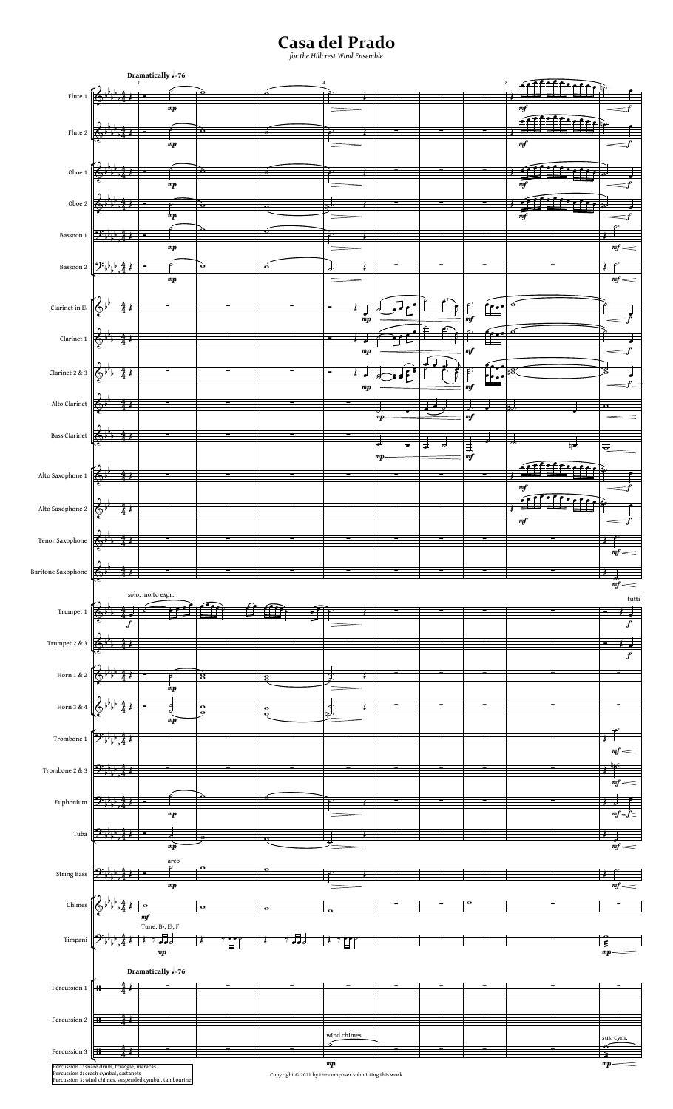## $\mathbf{C}$ **asa del Prado**

Clarinet in Eb  $\begin{array}{|c|c|c|c|}\n\hline\n\end{array}$   $\begin{array}{|c|c|c|}\n\hline\n\end{array}$   $\begin{array}{|c|c|c|}\n\hline\n\end{array}$  $\frac{2}{9}$   $\frac{1}{4}$   $\frac{1}{9}$ Oboe 1  $\left( \frac{1}{2} + \frac{1}{2} + \frac{1}{2} + \cdots \right)$ Bassoon 2  $\frac{1}{2}$   $\frac{1}{2}$   $\frac{1}{2}$   $\frac{1}{4}$   $\frac{1}{4}$   $\frac{1}{2}$   $\frac{1}{2}$   $\frac{1}{2}$   $\frac{1}{2}$   $\frac{1}{2}$   $\frac{1}{2}$   $\frac{1}{2}$   $\frac{1}{2}$   $\frac{1}{2}$   $\frac{1}{2}$   $\frac{1}{2}$   $\frac{1}{2}$   $\frac{1}{2}$   $\frac{1}{2}$   $\frac{1}{2}$   $\frac{1}{2}$   $\left( \frac{1}{2} \right)^{\frac{1}{2}} \left| \frac{1}{2} \right| \left| \frac{1}{2} \right|$  $\frac{4}{5}$   $\frac{4}{5}$   $\frac{1}{6}$   $\frac{1}{6}$   $\frac{1}{6}$   $\frac{1}{6}$   $\frac{1}{6}$   $\frac{1}{6}$   $\frac{1}{6}$   $\frac{1}{6}$   $\frac{1}{6}$   $\frac{1}{6}$   $\frac{1}{6}$   $\frac{1}{6}$   $\frac{1}{6}$   $\frac{1}{6}$   $\frac{1}{6}$   $\frac{1}{6}$   $\frac{1}{6}$   $\frac{1}{6}$   $\frac{1}{6}$   $\frac{1}{6}$  Trombone 1  $\frac{1}{2}$   $\frac{1}{2}$   $\frac{1}{2}$   $\frac{1}{4}$   $\frac{1}{6}$ Tuba  $\frac{1}{2}$   $\frac{1}{2}$   $\frac{1}{2}$   $\frac{1}{2}$   $\frac{1}{2}$   $\frac{1}{2}$   $\frac{1}{2}$   $\frac{1}{2}$   $\frac{1}{2}$   $\frac{1}{2}$   $\frac{1}{2}$   $\frac{1}{2}$   $\frac{1}{2}$   $\frac{1}{2}$   $\frac{1}{2}$   $\frac{1}{2}$   $\frac{1}{2}$   $\frac{1}{2}$   $\frac{1}{2}$   $\frac{1}{2}$   $\frac{1}{2}$   $\frac{1}{$ Horn 1 & 2  $\left( \frac{\beta + \frac{1}{2}}{\beta + \frac{1}{2}} \frac{1}{4} + \frac{\beta - \frac{1}{2}}{\beta + \frac{1}{2}} \right)$ l∳  $\longleftrightarrow$  1.  $\circ$  1.  $\left| \begin{array}{ccc} \frac{2}{5} & \frac{1}{2} & \frac{1}{2} \\ \frac{1}{2} & \frac{1}{2} & \frac{1}{2} \end{array} \right|$  $\left(2+\frac{1}{2}\right)$  $\left[\begin{array}{ccc} \phi & \cdots & \phi \end{array}\right]$ Flute 1  $\left[\begin{array}{ccc} 1 & 1 & 1 \\ 1 & 1 & 1 \\ 1 & 1 & 1 \end{array}\right]$ Flute 2  $\left(\frac{1}{2}, \frac{1}{2}, \frac{1}{2}, \frac{1}{4}, \frac{1}{2}, \cdots, \frac{1}{4}\right)$ ° 4 / Œ Percussion 3  $\frac{4}{4}$ Oboe 2 Bassoon 1  $\frac{1}{2}$   $\frac{1}{2}$   $\frac{1}{4}$   $\frac{1}{4}$   $\frac{1}{2}$   $\frac{1}{2}$   $\frac{1}{2}$   $\frac{1}{2}$   $\frac{1}{2}$   $\frac{1}{2}$   $\frac{1}{2}$   $\frac{1}{2}$   $\frac{1}{2}$   $\frac{1}{2}$   $\frac{1}{2}$   $\frac{1}{2}$   $\frac{1}{2}$   $\frac{1}{2}$   $\frac{1}{2}$   $\frac{1}{2}$   $\frac{1}{2}$  Clarinet 1  $\begin{array}{|c|c|c|c|c|}\n\hline\n\end{array}$   $\begin{array}{|c|c|c|}\n\hline\n\end{array}$ Clarinet 2 & 3 Alto Clarinet Bass Clarinet Alto Saxophone 1 Alto Saxophone 2 Tenor Saxophone e Saxoph Trumpet 1 Trumpet 2 & 3 Horn 3 & 4 Trombone 2 & 3  $\frac{3!}{2!}$   $\frac{4}{4}$   $\frac{3}{4}$ Euphonium  $\frac{1}{2}$   $\frac{1}{2}$   $\frac{4}{4}$   $\frac{3}{4}$   $\frac{6}{4}$ String Bass Chimes Timpani Percussion 1 Percussion 2 mp |  $\leq f$  |  $\leq$  |  $\leq$  |  $\leq$  |  $\leq$  |  $\leq$  |  $\leq$  |  $\leq$  |  $\leq$  |  $\leq$  |  $\leq$  |  $\leq$  |  $\leq$  |  $\leq$  |  $\leq$  |  $\leq$  |  $\leq$  |  $\leq$  |  $\leq$  |  $\leq$  |  $\leq$  |  $\leq$  |  $\leq$  |  $\leq$  |  $\leq$  |  $\leq$  |  $\leq$  | **Dramatically** q**=76** *1 4 8* mp |  $\leq f$  |  $\leq$  |  $\leq$  |  $\leq$  |  $\leq$  |  $\leq$  |  $\leq$  |  $\leq$  |  $\leq$  |  $\leq$  |  $\leq$  |  $\leq$  |  $\leq$  |  $\leq$  |  $\leq$  |  $\leq$  |  $\leq$  |  $\leq$  |  $\leq$  |  $\leq$  |  $\leq$  |  $\leq$  |  $\leq$  |  $\leq$  |  $\leq$  |  $\leq$  |  $\leq$  | mp | | | |  $\equiv$  | | | | mf  $\equiv$   $|$ mp |  $\hspace{2.6cm}$  |  $\hspace{2.6cm}$  |  $\hspace{2.6cm}$  |  $\hspace{2.6cm}$  |  $\hspace{2.6cm}$  |  $\hspace{2.6cm}$  |  $\hspace{2.6cm}$  |  $\hspace{2.6cm}$   $\hspace{2.6cm}$   $\hspace{2.6cm}$   $\hspace{2.6cm}$   $\hspace{2.6cm}$   $\hspace{2.6cm}$   $\hspace{2.6cm}$   $\hspace{2.6cm}$   $\hspace{2.6cm}$   $\hspace{2.6cm}$ mp |  $\blacksquare$  |  $\blacksquare$  |  $\blacksquare$  |  $\blacksquare$  |  $\blacksquare$  |  $\blacksquare$  |  $\blacksquare$  |  $\blacksquare$  |  $\blacksquare$  |  $\blacksquare$  |  $\blacksquare$  |  $\blacksquare$  |  $\blacksquare$  |  $\blacksquare$  |  $\blacksquare$  |  $\blacksquare$  |  $\blacksquare$  |  $\blacksquare$  |  $\blacksquare$  |  $\blacksquare$  |  $\blacksquare$  |  $\blacksquare$  |  $\blacksquare$  |  $\blacksquare$  | mp |  $\blacksquare$  |  $\blacksquare$  |  $\blacksquare$  |  $\blacksquare$  |  $\blacksquare$  |  $\blacksquare$  |  $\blacksquare$  |  $\blacksquare$  |  $\blacksquare$  |  $\blacksquare$  |  $\blacksquare$  |  $\blacksquare$  |  $\blacksquare$  |  $\blacksquare$  |  $\blacksquare$  |  $\blacksquare$  |  $\blacksquare$  |  $\blacksquare$  |  $\blacksquare$  |  $\blacksquare$  |  $\blacksquare$  |  $\blacksquare$  |  $\blacksquare$  |  $\blacksquare$  |  $\Box$  mp  $\Box$  mf  $\Box$  $\Box$  mf  $\Box$  f  $\Box$  $\lceil m p \rceil$  and  $\lceil m f \rceil$  and  $\lceil m f \rceil$ f  $\pm$  $\mathsf{m}$ p  $\longrightarrow$   $\mathsf{m}$ f  $\top$  $\mathsf{m}$ p  $\longrightarrow$   $\mathsf{m}$ f  $\top$ mf  $\leq f$   $\mid$ mf  $\leq f$   $\mid$  $m f \ll$ mf  $f$  f f and  $f$  f and  $f$  is the set of  $f$  is the set of  $f$  is the set of  $f$  is the set of  $f$  is the set of  $f$  is the set of  $f$  is the set of  $f$  is the set of  $f$  is the set of  $f$  is the set of  $f$  is the set of f mp<br>2<br>mp mf mf mp |  $\blacksquare$  |  $\blacksquare$  |  $\blacksquare$  |  $\blacksquare$  |  $\blacksquare$  |  $\blacksquare$  |  $\blacksquare$  |  $\blacksquare$  |  $\blacksquare$   $\blacksquare$   $\blacksquare$   $\blacksquare$   $\blacksquare$   $\blacksquare$   $\blacksquare$   $\blacksquare$   $\blacksquare$   $\blacksquare$   $\blacksquare$   $\blacksquare$   $\blacksquare$   $\blacksquare$   $\blacksquare$   $\blacksquare$   $\blacksquare$   $\blacksquare$   $\blacksquare$   $\blacksquare$   $\blacks$  $\sum_{m \in \mathbb{N}}$  and  $\sum_{m \in \mathbb{N}}$  and  $\sum_{m \in \mathbb{N}}$  and  $\sum_{m \in \mathbb{N}}$  and  $\sum_{m \in \mathbb{N}}$  and  $\sum_{m \in \mathbb{N}}$  and  $\sum_{m \in \mathbb{N}}$  and  $\sum_{m \in \mathbb{N}}$  and  $\sum_{m \in \mathbb{N}}$  and  $\sum_{m \in \mathbb{N}}$  and  $\sum_{m \in \mathbb{N}}$  and  $\sum_{m \in \mathbb{N$ mp and the contract of the contract of the contract of the contract of the contract of the contract of the contract of the contract of the contract of the contract of the contract of the contract of the contract of the co mf<br>Tune: Bb, Eb, F mp and the matrix of  $mp \equiv$ **Dramatically** q**=76** mp mp and  $mp \longrightarrow$  $6 + 4$   $- 6$  $\frac{2}{9}$   $\frac{1}{4}$   $\frac{1}{9}$  $#$ 4 & b  $\overline{4}$   $\overline{1}$  $\frac{1}{4}$  $\overline{4}$   $\overline{1}$  $6 + 4$  =  $9$  $9\frac{1}{2}\frac{1}{2}$  ;  $\frac{1}{4}$  ;  $\frac{1}{2}$  $\frac{4}{4}$ b ∑ ∑ ∑  $\frac{1}{2}$   $\frac{1}{2}$   $\frac{1}{2}$   $\frac{1}{2}$   $\frac{1}{2}$   $\frac{1}{2}$   $\frac{1}{2}$   $\frac{1}{2}$   $\frac{1}{2}$   $\frac{1}{2}$   $\frac{1}{2}$   $\frac{1}{2}$   $\frac{1}{2}$   $\frac{1}{2}$   $\frac{1}{2}$   $\frac{1}{2}$   $\frac{1}{2}$   $\frac{1}{2}$   $\frac{1}{2}$   $\frac{1}{2}$   $\frac{1}{2}$   $\frac{1}{2}$   $\frac{1}{2}$   $\frac{1}{2}$   $\frac{1}{2}$   $\frac{1}{2}$   $\frac{1}{2}$   $\frac{1}{2}$   $\frac{1}{2}$   $\frac{1}{2}$   $\frac{1}{2}$   $\frac{1}{2}$   $\frac{1}{2}$   $\frac{1}{2}$   $\frac{1}{2}$   $\frac{1}{2}$   $\frac{1}{2}$   $\frac{1}{2}$   $\frac{1}{2}$   $\frac{1}{2}$   $\frac{1}{2}$   $\frac{1}{2}$   $\frac{1}{2}$   $\frac{1}{2}$   $\frac{1}{2}$   $\frac{1}{2}$   $\frac{1}{2}$   $\frac{1}{2}$   $\frac{1}{2}$   $\frac{1}{2}$   $\frac{1}{2}$   $\frac{1}{2}$   $\frac{1}{2}$   $\frac{1}{2}$   $\frac{1}{2}$   $\frac{1}{2}$   $\frac{1}{2}$   $\frac{1}{2}$   $\frac{1}{2}$   $\frac{1}{2}$   $\frac{1}{2}$   $\frac{1}{2}$   $\frac{1}{2}$   $\frac{1}{2}$   $\frac{1}{2}$   $\frac{1}{2}$   $\frac{4}{2}$   $\frac{1}{2}$   $\frac{1}{2}$   $\frac{1}{2}$   $\frac{1}{2}$   $\frac{1}{2}$   $\frac{1}{2}$   $\frac{1}{2}$   $\frac{1}{2}$   $\frac{1}{2}$   $\frac{1}{2}$   $\frac{1}{2}$   $\frac{1}{2}$   $\frac{1}{2}$   $\frac{1}{2}$   $\frac{1}{2}$   $\frac{1}{2}$   $\frac{1}{2}$   $\frac{1}{2}$   $\frac{1}{2}$   $\frac{1}{2}$   $\frac{1}{2}$   $\frac{4}{2}$   $\frac{1}{2}$   $\frac{1}{2}$   $\frac{1}{2}$   $\frac{1}{2}$   $\frac{1}{2}$   $\frac{1}{2}$   $\frac{1}{2}$   $\frac{1}{2}$   $\frac{1}{2}$   $\frac{1}{2}$   $\frac{1}{2}$   $\frac{1}{2}$   $\frac{1}{2}$   $\frac{1}{2}$   $\frac{1}{2}$   $\frac{1}{2}$   $\frac{1}{2}$   $\frac{1}{2}$   $\frac{1}{2}$   $\frac{1}{2}$   $\frac{1}{2}$  b ∑ ∑ ∑ b ∑ ∑ ∑ b ∑ ∑ ∑  $\frac{1}{2}$   $\frac{1}{4}$   $\frac{1}{2}$   $\frac{1}{2}$   $\frac{1}{2}$   $\frac{1}{2}$   $\frac{1}{2}$   $\frac{1}{2}$   $\frac{1}{2}$   $\frac{1}{2}$   $\frac{1}{2}$   $\frac{1}{2}$   $\frac{1}{2}$   $\frac{1}{2}$   $\frac{1}{2}$   $\frac{1}{2}$   $\frac{1}{2}$   $\frac{1}{2}$   $\frac{1}{2}$   $\frac{1}{2}$   $\frac{1}{2}$   $\frac{1}{2}$  b ∑ ∑ ∑ ∑ b ∑ ∑ ∑ ∑ b ∑ ∑ ∑ ∑ ∑ ∑ ∑  $\oint_0^b \frac{4}{4}i$ b ∑ ∑ ∑ ∑ ∑ ∑ ∑  $\left\langle \phi^{p}, \phi^{q} \right\rangle$ b ∑ ∑ ∑ ∑ ∑ ∑ ∑ ∑  $\left\langle \phi^{\beta} \quad 4 \right\rangle$  = b ∑ ∑ ∑ ∑ ∑ ∑ ∑ ∑ <sup>b</sup> solo, molto espr. <sup>∑</sup> <sup>∑</sup> <sup>∑</sup> <sup>∑</sup> tutti b ∑ ∑ ∑ ∑ ∑ ∑ ∑ ∑  $\frac{1}{2}$   $\frac{1}{2}$   $\frac{1}{2}$   $\frac{1}{2}$   $\frac{1}{2}$   $\frac{1}{2}$   $\frac{1}{2}$   $\frac{1}{2}$   $\frac{1}{2}$   $\frac{1}{2}$   $\frac{1}{2}$   $\frac{1}{2}$   $\frac{1}{2}$   $\frac{1}{2}$   $\frac{1}{2}$   $\frac{1}{2}$   $\frac{1}{2}$   $\frac{1}{2}$   $\frac{1}{2}$   $\frac{1}{2}$   $\frac{1}{2}$   $\frac{1}{2}$   $\frac{1}{2}$   $\frac{1}{2}$   $\frac{1}{2}$   $\frac{1}{2}$   $\frac{1}{2}$   $\frac{1}{2}$   $\frac{1}{2}$   $\frac{1}{2}$   $\frac{1}{2}$   $\frac{1}{2}$   $\frac{1}{2}$   $\frac{1}{2}$   $\frac{1}{2}$   $\frac{1}{2}$   $\frac{1}{2}$   $\frac{1}{2}$   $\frac{1}{2}$   $\frac{1}{2}$   $\frac{1}{2}$   $\frac{1}{2}$   $\frac{1}{2}$   $\frac{1}{2}$   $\frac{2}{5}$   $\frac{2}{5}$   $\frac{2}{5}$   $\frac{2}{5}$   $\frac{2}{5}$   $\frac{2}{5}$   $\frac{2}{5}$   $\frac{2}{5}$   $\frac{2}{5}$   $\frac{2}{5}$   $\frac{2}{5}$   $\frac{2}{5}$   $\frac{2}{5}$   $\frac{2}{5}$   $\frac{2}{5}$   $\frac{2}{5}$   $\frac{2}{5}$   $\frac{2}{5}$   $\frac{2}{5}$   $\frac{2}{5}$   $\frac{2}{5}$   $\frac{2}{5}$   $\frac{2}{5}$   $\frac{2}{5}$   $\frac{2}{5}$   $\frac{2}{5}$   $\frac{2}{5}$   $\frac{2}{5}$   $\frac{2}{5}$   $\frac{2}{5}$   $\frac{2}{5}$   $\frac{2}{5}$   $\frac{2}{5}$   $\frac{2}{5}$   $\frac{2}{5}$   $\frac{2}{5}$   $\frac{2}{5}$   $\frac{2}{5}$   $\frac{2}{5}$   $\frac{2}{5}$   $\frac{2}{5}$   $\frac{2}{5}$   $\frac{2}{5}$   $\frac{2}{5}$   $\frac{4}{2}$   $\frac{1}{2}$   $\frac{6}{2}$   $\frac{6}{2}$   $\frac{1}{2}$   $\frac{1}{2}$   $\frac{1}{2}$   $\frac{1}{2}$   $\frac{1}{2}$   $\frac{1}{2}$   $\frac{1}{2}$   $\frac{1}{2}$   $\frac{1}{2}$   $\frac{1}{2}$   $\frac{1}{2}$   $\frac{1}{2}$   $\frac{1}{2}$   $\frac{1}{2}$   $\frac{1}{2}$   $\frac{1}{2}$   $\frac{1}{2}$   $\frac{1}{2}$  <sup>b</sup> <sup>∑</sup> <sup>∑</sup> <sup>∑</sup> <sup>∑</sup> <sup>b</sup> arco <sup>∑</sup> <sup>∑</sup> <sup>∑</sup> <sup>∑</sup>  $\frac{1}{24}$  }  $\frac{1}{24}$   $\frac{1}{24}$   $\frac{1}{24}$   $\frac{1}{24}$   $\frac{1}{24}$   $\frac{1}{24}$   $\frac{1}{24}$   $\frac{1}{24}$   $\frac{1}{24}$   $\frac{1}{24}$   $\frac{1}{24}$   $\frac{1}{24}$   $\frac{1}{24}$   $\frac{1}{24}$   $\frac{1}{24}$   $\frac{1}{24}$   $\frac{1}{24}$   $\frac{1}{24}$   $\frac{1}{24}$ <sup>b</sup> Tune: <sup>B</sup>b, <sup>E</sup>b, <sup>F</sup> <sup>∑</sup> <sup>∑</sup> <sup>∑</sup> <sup>∑</sup> ∑ ∑ ∑ ∑ ∑ ∑ ∑ ∑ ∑ ∑ ∑ ∑ ∑ ∑ ∑ ∑ ∑ ∑ <sup>∑</sup> <sup>∑</sup> <sup>∑</sup> wind chimes <sup>∑</sup> <sup>∑</sup> <sup>∑</sup> <sup>∑</sup>  $\frac{1}{2}$  $\frac{1}{2}$   $\frac{1}{2}$   $\frac{1}{2}$   $\frac{1}{2}$   $\frac{1}{2}$   $\frac{1}{2}$   $\frac{1}{2}$   $\frac{1}{2}$   $\frac{1}{2}$   $\frac{1}{2}$   $\frac{1}{2}$   $\frac{1}{2}$   $\frac{1}{2}$   $\frac{1}{2}$   $\frac{1}{2}$   $\frac{1}{2}$   $\frac{1}{2}$   $\frac{1}{2}$   $\frac{1}{2}$   $\frac{1}{2}$   $\frac{1}{2}$   $\frac{1}{2}$   $\overline{u}$   $\overline{u}$   $\overline{u}$   $\overline{u}$   $\overline{u}$   $\overline{u}$   $\overline{u}$   $\overline{u}$   $\overline{u}$   $\overline{u}$   $\overline{u}$   $\overline{u}$   $\overline{u}$   $\overline{u}$   $\overline{u}$   $\overline{u}$   $\overline{u}$   $\overline{u}$   $\overline{u}$   $\overline{u}$   $\overline{u}$   $\overline{u}$   $\overline{u}$   $\overline{u}$   $\overline{$  $\frac{c}{m}$  $R = \frac{1}{\sqrt{2}}$  $\mathcal{L} = \begin{bmatrix} \mathbf{C} & \mathbf{C} & \mathbf{C} & \mathbf{C} & \mathbf{C} & \mathbf{C} & \mathbf{C} & \mathbf{C} & \mathbf{C} & \mathbf{C} & \mathbf{C} & \mathbf{C} & \mathbf{C} & \mathbf{C} & \mathbf{C} & \mathbf{C} & \mathbf{C} & \mathbf{C} & \mathbf{C} & \mathbf{C} & \mathbf{C} & \mathbf{C} & \mathbf{C} & \mathbf{C} & \mathbf{C} & \mathbf{C} & \mathbf{C} & \mathbf{C} & \mathbf{C} & \mathbf{$  $\begin{array}{ccccc} \mathbf{R} & \mathbf{R} & \mathbf{R} & \mathbf{R} & \mathbf{R} & \mathbf{R} & \mathbf{R} & \mathbf{R} & \mathbf{R} & \mathbf{R} & \mathbf{R} & \mathbf{R} & \mathbf{R} & \mathbf{R} & \mathbf{R} & \mathbf{R} & \mathbf{R} & \mathbf{R} & \mathbf{R} & \mathbf{R} & \mathbf{R} & \mathbf{R} & \mathbf{R} & \mathbf{R} & \mathbf{R} & \mathbf{R} & \mathbf{R} & \mathbf{R} & \mathbf{R} & \mathbf{R} & \math$ <sup>Œ</sup> <sup>Ó</sup> <sup>Œ</sup> <sup>œ</sup> ˙ <sup>œ</sup> <sup>œ</sup> <sup>œ</sup> <sup>œ</sup> ˙ <sup>œ</sup>™ <sup>œ</sup>  $\frac{1}{\sqrt{2\pi}}$ <sup>Œ</sup> <sup>Ó</sup> <sup>Œ</sup> <sup>œ</sup> ˙ <sup>œ</sup> <sup>œ</sup> <sup>œ</sup> <sup>œ</sup> ˙ <sup>œ</sup>™ <sup>œ</sup>  $\hat{\sigma}$   $\hat{r}$   $\hat{r}$   $\hat{r}$   $\hat{r}$   $\hat{r}$   $\hat{r}$  $\mathcal{L} = \left[ \begin{array}{cc} \mathcal{L} & \mathcal{L} \\ \mathcal{L} & \mathcal{L} \end{array} \right] \mathcal{L} = \left[ \begin{array}{cc} \mathcal{L} & \mathcal{L} \\ \mathcal{L} & \mathcal{L} \end{array} \right] \mathcal{L} = \left[ \begin{array}{cc} \mathcal{L} & \mathcal{L} \\ \mathcal{L} & \mathcal{L} \end{array} \right]$  $\bullet$   $\bullet$   $\bullet$  $\frac{1}{e}$ œ œ™  $\frac{1}{\sqrt{2}}$   $\frac{1}{\sqrt{2}}$   $\frac{1}{\sqrt{2}}$   $\frac{1}{\sqrt{2}}$  $\frac{1}{2}$  $\bullet$  $\bullet$   $\overline{\bullet}$  $\frac{2\pi}{\epsilon}$ nww ˙™ œ  $\frac{1}{2}$  where  $\frac{1}{2}$  we can be a set of  $\frac{1}{2}$  where  $\frac{1}{2}$  we can be a set of  $\frac{1}{2}$ <sup>Œ</sup> ˙™ <sup>œ</sup> <sup>œ</sup> <sup>œ</sup> ˙ ˙™ <sup>œ</sup> #˙™ <sup>œ</sup> <sup>w</sup> <sup>Œ</sup> ˙™ <sup>œ</sup> ˙ ˙  $\frac{1}{\sigma_{\text{sc}}}$   $\frac{1}{\sigma_{\text{sc}}}$   $\frac{1}{\sigma_{\text{sc}}}$  $\mathbb{E} \left[ \begin{array}{ccc} \mathbb{E} \left[ \begin{array}{ccc} \mathbb{E} \left[ \begin{array}{ccc} \mathbb{E} \left[ \begin{array}{ccc} \mathbb{E} \left[ \begin{array}{ccc} \mathbb{E} \left[ \begin{array}{ccc} \mathbb{E} \left[ \begin{array}{ccc} \mathbb{E} \left[ \begin{array}{ccc} \mathbb{E} \left[ \begin{array}{ccc} \mathbb{E} \left[ \begin{array}{ccc} \mathbb{E} \left[ \end{array} \right] \end{array} \right] \end{array} \right] \end{array} \right) & \mathbb{E} \left[ \begin{array}{ccc} \math$  $\mathcal{L} = \mathcal{L} \left( \mathcal{L} \mathcal{L} \mathcal{L} \mathcal{L} \mathcal{L} \mathcal{L} \mathcal{L} \mathcal{L} \mathcal{L} \mathcal{L} \mathcal{L} \mathcal{L} \mathcal{L} \mathcal{L} \mathcal{L} \mathcal{L} \mathcal{L} \mathcal{L} \mathcal{L} \mathcal{L} \mathcal{L} \mathcal{L} \mathcal{L} \mathcal{L} \mathcal{L} \mathcal{L} \mathcal{L} \mathcal{L} \mathcal{L} \mathcal{L} \mathcal{L} \mathcal{L} \mathcal{L} \mathcal{L}$ Œ Œ ˙™ <sup>Œ</sup> <sup>Œ</sup> ˙™ <u>ed f</u>r  $\hat{c}$   $\hat{c}$   $\hat{c}$   $\hat{c}$   $\hat{c}$ <sup>œ</sup> ˙™ <sup>Œ</sup> <sup>Ó</sup> <sup>Œ</sup> <sup>œ</sup> Œ Ó Œ œ  $\lambda$  =  $\hat{\epsilon}$  8 =  $\frac{1}{3}$   $\frac{1}{2}$   $\lambda$  $\frac{1}{2}$ ™  $\overline{a}$  $\frac{1}{\sqrt{2}}$   $\begin{array}{ccc} - & 1 & 0 \\ 0 & 0 & 0 \end{array}$  $\begin{array}{c|c|c|c|c} \hline \downarrow & \circ & \circ & \circ \end{array}$  $\overline{\mathbf{v}}$   $\overline{\mathbf{v}}$  $\frac{1}{2}$  where  $\frac{1}{2}$  $\circ$   $\circ$  $\frac{1}{2}$ .  $\overrightarrow{a}$   $\overrightarrow{b}$ µ9. ——  $\sqrt{2}$  $\mathcal{C}$   $\mathcal{C}$   $\mathcal{C}$   $\mathcal{C}$   $\mathcal{C}$   $\mathcal{C}$   $\mathcal{C}$   $\mathcal{C}$   $\mathcal{C}$   $\mathcal{C}$   $\mathcal{C}$   $\mathcal{C}$   $\mathcal{C}$   $\mathcal{C}$   $\mathcal{C}$   $\mathcal{C}$   $\mathcal{C}$   $\mathcal{C}$   $\mathcal{C}$   $\mathcal{C}$   $\mathcal{C}$   $\mathcal{C}$   $\mathcal{C}$   $\mathcal{C}$   $\mathcal{$  $\Omega$  . The contract of the contract of the contract of the contract of the contract of the contract of the contract of the contract of the contract of the contract of the contract of the contract of the contract of the co n˙™ ™  $\mathcal{L} = \begin{bmatrix} 0 & 0 & \cdots & 0 \\ 0 & 0 & 0 & \cdots \\ \vdots & \vdots & \ddots & \vdots \\ 0 & 0 & 0 & 0 \\ 0 & 0 & 0 & 0 \\ \end{bmatrix}$ œ ि ऽ ऽ तथा तथा छ। अस्ति । अस्ति । अस्ति । अस्ति । अस्ति । अस्ति । अस्ति । अस्ति । अस्ति । अस्ति । अस्ति । अस्ति<br>स्रोतः । अस्ति । अस्ति । अस्ति । अस्ति । अस्ति । अस्ति । अस्ति । अस्ति । अस्ति । अस्ति । अस्ति । अस्ति । अस्ति <sup>Œ</sup> <sup>Ó</sup> ˙ <sup>w</sup> <sup>w</sup> ˙™ <sup>Œ</sup> <sup>Œ</sup> ˙™  $\begin{array}{|c|c|c|c|c|}\hline \text{~~} & \text{o} & \text{~~} \\\hline \end{array}$  $\bullet$  where  $\bullet$  $k \rightarrow \epsilon \rightarrow \epsilon$  $\int_{0}^{\infty}$  $\overline{a}$   $\overline{a}$   $\overline{a}$   $\overline{a}$   $\overline{a}$   $\overline{a}$   $\overline{a}$   $\overline{a}$   $\overline{a}$   $\overline{a}$   $\overline{a}$   $\overline{a}$   $\overline{a}$   $\overline{a}$   $\overline{a}$   $\overline{a}$   $\overline{a}$   $\overline{a}$   $\overline{a}$   $\overline{a}$   $\overline{a}$   $\overline{a}$   $\overline{a}$   $\overline{a}$   $\overline{$  $rac{6}{\pi}$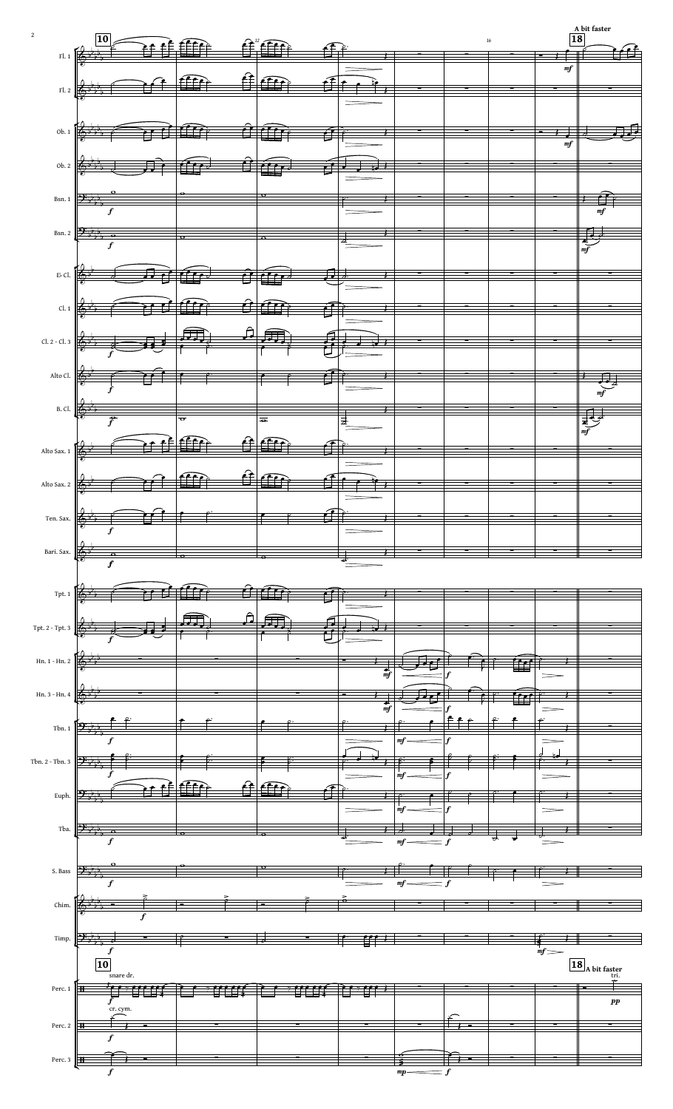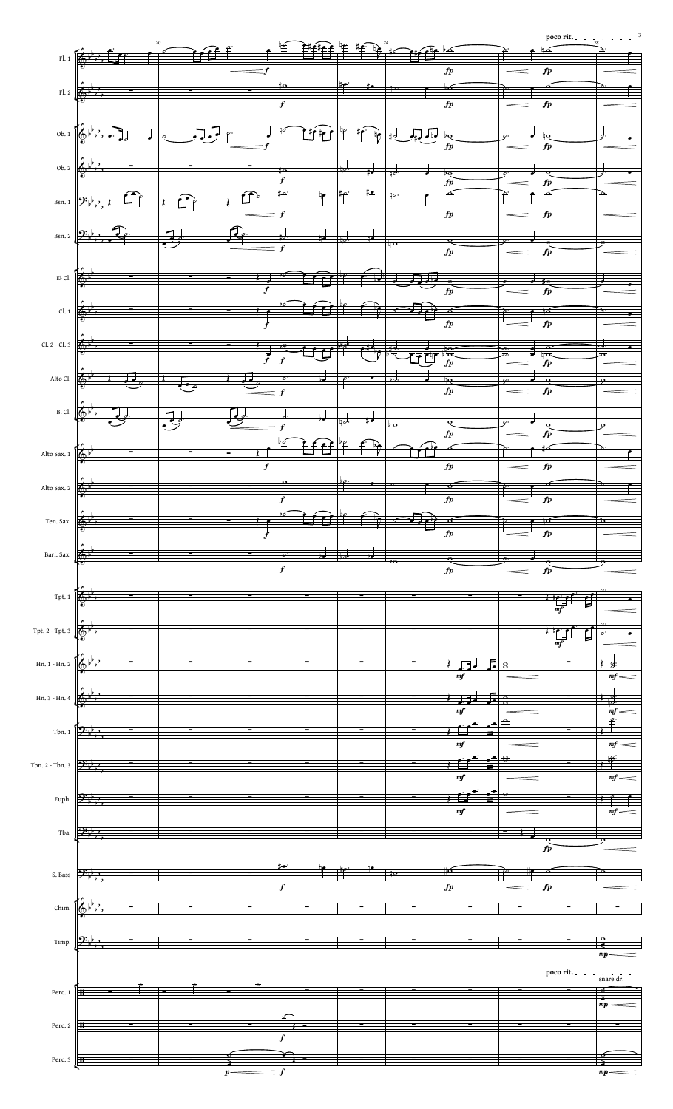| Fl. 1<br>$f\!p$<br>$ f\hspace{-1.9pt}{}p$<br>=<br>F1.2<br>$f\!p$<br>$\vert f p \vert$<br>$=$<br>$\mbox{Ob.}~1$<br>$\frac{1}{2}$ is $\frac{1}{2}$<br>Ilo<br>$ f\hspace{-0.9mm}p $<br>$f\!p$<br>$\mbox{Ob.}2$<br>Ģ<br>₿e<br>$f_{I\!\!P}$<br>$f\!p$<br>$\frac{6}{5}$<br>$\frac{6}{5}$<br>$2 +$<br>$f\!p$<br>$\boldsymbol{fp}$<br>$\cdot$ f<br>Bsn. 2 $\frac{9:}{7}$<br>‡⊕<br>$f\!p$<br>$f\!p$<br>$\mathbb{E} \flat$ Cl.<br>$\overline{\phantom{a}}$<br>to<br>$\boldsymbol{f}$<br>$\int p$<br>$\boldsymbol{fp}$<br>$\mathop{\rm cl}\nolimits.1$<br>$\pmb{\mathit{fp}}$<br>$\boxed{\textit{fp}}$<br>$CL.2 - CL.3$<br>$\overline{\phantom{a}}$<br><u>रहेकै</u> .<br>$\vec{f}$<br>่ง<br>$\mathbf{f}\mathbf{p}$<br>$\int p$<br>$\rm Alto$ Cl.<br>þ٥<br>$f\hspace{-1.5pt}{}^{\:\:\!}p$<br>$ f\hspace{-0.9mm}p $<br>$=$<br>$\,$ B. Cl. $\,$<br>$\overline{\mathcal{L}}$<br>$\begin{array}{c} \overline{\mathbf{1}} \ \overline{\mathbf{1}} \ \overline{\mathbf{1}} \ \overline{\mathbf{1}} \ \overline{\mathbf{1}} \ \overline{\mathbf{1}} \ \overline{\mathbf{1}} \ \overline{\mathbf{1}} \ \overline{\mathbf{1}} \ \overline{\mathbf{1}} \ \overline{\mathbf{1}} \ \overline{\mathbf{1}} \ \overline{\mathbf{1}} \ \overline{\mathbf{1}} \ \overline{\mathbf{1}} \ \overline{\mathbf{1}} \ \overline{\mathbf{1}} \ \overline{\mathbf{1}} \ \overline{\mathbf{1}} \ \overline{\mathbf{1}} \ \overline{\mathbf{1}} \ \overline$<br>हर<br>∏ठ.<br>$\overline{\overline{5}}$<br>₹<br>र<br>$\left  \frac{\overline{\mathbf{c}}}{\mathbf{f}\mathbf{p}}\right $<br>$\overline{\overline{\sigma}}$<br>$f\!p$<br>١ę<br>≛≄≛<br>Alto Sax. $\bf 1$<br>$\boldsymbol{f}$<br>$f\!p$<br>$\vert f p \vert$<br>$\hspace{-1.5cm} =\hspace{-1.5cm} -\hspace{-1.5cm} -\hspace{-1.5cm} -\hspace{-1.5cm} -\hspace{-1.5cm} -\hspace{-1.5cm} -\hspace{-1.5cm} -\hspace{-1.5cm} -\hspace{-1.5cm} -\hspace{-1.5cm} -\hspace{-1.5cm} -\hspace{-1.5cm} -\hspace{-1.5cm} -\hspace{-1.5cm} -\hspace{-1.5cm} -\hspace{-1.5cm} -\hspace{-1.5cm} -\hspace{-1.5cm} -\hspace{-1.5cm} -\hspace{-1.5cm} -\hspace{-1.5cm} -$<br>Alto Sax. 2<br>-ė<br>$\bullet$<br>$\boxed{fp}$<br>$\overline{\textit{fp}}$<br>Ten. Sax. $\left( \frac{1}{2} \right)$<br>$\mathbb{P}$ is<br>Ξ<br>€<br>$\overline{\bullet}$<br>$\bullet$<br>$\boldsymbol{ f\!p}$<br>$f\!p$<br>$=$<br>$\boldsymbol{f}$<br>Bari. Sax.<br>⋥<br>∞<br>70<br>ÞΟ<br>$f\!p$<br>$f_{p}$<br>Tpt. 1<br>₽<br>m f<br>$\mathsf{Tpt.\,2}\text{-}\mathsf{Tpt.\,3}$<br>⊟r<br>m f<br>Hn. 1 - Hn. 2<br>$\it mf$<br>$m\!f$ —<br>♬<br>a<br>$\bullet$<br>₩<br>$\it mf$<br>$m\!f$ —<br>£.<br>≘<br>$\mathcal{P}$<br>$\it mf$<br>$m\!f$ —<br>尾<br>8<br>$\mathcal{P}_{\mathcal{V}}$<br>$m\!f$ —<br>$\it mf$<br>$\it mf$<br>$m\!f$ —<br>Tba.<br>$f_{\rm P}$<br>$\mathbf{\Theta}$<br>‡o<br>$\boldsymbol{f}$<br>$f\!p$<br>$f\!p$<br>$2_{\rm \star}$<br>⊖<br>s<br>$mp-$<br>poco rit. $\ldots$<br>$\frac{1}{\sqrt{2}}$ snare dr.<br>ó<br>Ŧ<br>z<br>mp<br>€<br>Perc. 2<br>e<br> f <br>๔<br>๔<br>$\sum_{i=1}^{n}$<br>Perc. $3$<br>Ŧ<br>医 |                                                                                                                    |  | 20 |       |            | 丰 |  |  | poco rit.<br>$\sim$ | 3<br>$\frac{1}{28}$         |
|-----------------------------------------------------------------------------------------------------------------------------------------------------------------------------------------------------------------------------------------------------------------------------------------------------------------------------------------------------------------------------------------------------------------------------------------------------------------------------------------------------------------------------------------------------------------------------------------------------------------------------------------------------------------------------------------------------------------------------------------------------------------------------------------------------------------------------------------------------------------------------------------------------------------------------------------------------------------------------------------------------------------------------------------------------------------------------------------------------------------------------------------------------------------------------------------------------------------------------------------------------------------------------------------------------------------------------------------------------------------------------------------------------------------------------------------------------------------------------------------------------------------------------------------------------------------------------------------------------------------------------------------------------------------------------------------------------------------------------------------------------------------------------------------------------------------------------------------------------------------------------------------------------------------------------------------------------------------------------------------------------------------------------------------------------------------------------------------------------------------------------------------------------------------------------------------------------------------------------------------------------------------------------------------------------------------------------------------------------------------------------------------------------------------------------------------------------------------------------------------------------------------------------------------------------------------------------------------------------------------------------------------------------------------------------------------------------------------------------------------------------------------------------------------------------------------------------------------------------------------------------------------------------------------------------------------------------------------------------------------------------------------------|--------------------------------------------------------------------------------------------------------------------|--|----|-------|------------|---|--|--|---------------------|-----------------------------|
|                                                                                                                                                                                                                                                                                                                                                                                                                                                                                                                                                                                                                                                                                                                                                                                                                                                                                                                                                                                                                                                                                                                                                                                                                                                                                                                                                                                                                                                                                                                                                                                                                                                                                                                                                                                                                                                                                                                                                                                                                                                                                                                                                                                                                                                                                                                                                                                                                                                                                                                                                                                                                                                                                                                                                                                                                                                                                                                                                                                                                       |                                                                                                                    |  |    |       |            |   |  |  |                     |                             |
|                                                                                                                                                                                                                                                                                                                                                                                                                                                                                                                                                                                                                                                                                                                                                                                                                                                                                                                                                                                                                                                                                                                                                                                                                                                                                                                                                                                                                                                                                                                                                                                                                                                                                                                                                                                                                                                                                                                                                                                                                                                                                                                                                                                                                                                                                                                                                                                                                                                                                                                                                                                                                                                                                                                                                                                                                                                                                                                                                                                                                       |                                                                                                                    |  |    |       |            |   |  |  |                     |                             |
|                                                                                                                                                                                                                                                                                                                                                                                                                                                                                                                                                                                                                                                                                                                                                                                                                                                                                                                                                                                                                                                                                                                                                                                                                                                                                                                                                                                                                                                                                                                                                                                                                                                                                                                                                                                                                                                                                                                                                                                                                                                                                                                                                                                                                                                                                                                                                                                                                                                                                                                                                                                                                                                                                                                                                                                                                                                                                                                                                                                                                       |                                                                                                                    |  |    |       |            |   |  |  |                     |                             |
|                                                                                                                                                                                                                                                                                                                                                                                                                                                                                                                                                                                                                                                                                                                                                                                                                                                                                                                                                                                                                                                                                                                                                                                                                                                                                                                                                                                                                                                                                                                                                                                                                                                                                                                                                                                                                                                                                                                                                                                                                                                                                                                                                                                                                                                                                                                                                                                                                                                                                                                                                                                                                                                                                                                                                                                                                                                                                                                                                                                                                       |                                                                                                                    |  |    |       |            |   |  |  |                     |                             |
|                                                                                                                                                                                                                                                                                                                                                                                                                                                                                                                                                                                                                                                                                                                                                                                                                                                                                                                                                                                                                                                                                                                                                                                                                                                                                                                                                                                                                                                                                                                                                                                                                                                                                                                                                                                                                                                                                                                                                                                                                                                                                                                                                                                                                                                                                                                                                                                                                                                                                                                                                                                                                                                                                                                                                                                                                                                                                                                                                                                                                       |                                                                                                                    |  |    |       |            |   |  |  |                     |                             |
|                                                                                                                                                                                                                                                                                                                                                                                                                                                                                                                                                                                                                                                                                                                                                                                                                                                                                                                                                                                                                                                                                                                                                                                                                                                                                                                                                                                                                                                                                                                                                                                                                                                                                                                                                                                                                                                                                                                                                                                                                                                                                                                                                                                                                                                                                                                                                                                                                                                                                                                                                                                                                                                                                                                                                                                                                                                                                                                                                                                                                       |                                                                                                                    |  |    |       |            |   |  |  |                     |                             |
|                                                                                                                                                                                                                                                                                                                                                                                                                                                                                                                                                                                                                                                                                                                                                                                                                                                                                                                                                                                                                                                                                                                                                                                                                                                                                                                                                                                                                                                                                                                                                                                                                                                                                                                                                                                                                                                                                                                                                                                                                                                                                                                                                                                                                                                                                                                                                                                                                                                                                                                                                                                                                                                                                                                                                                                                                                                                                                                                                                                                                       |                                                                                                                    |  |    |       |            |   |  |  |                     |                             |
|                                                                                                                                                                                                                                                                                                                                                                                                                                                                                                                                                                                                                                                                                                                                                                                                                                                                                                                                                                                                                                                                                                                                                                                                                                                                                                                                                                                                                                                                                                                                                                                                                                                                                                                                                                                                                                                                                                                                                                                                                                                                                                                                                                                                                                                                                                                                                                                                                                                                                                                                                                                                                                                                                                                                                                                                                                                                                                                                                                                                                       |                                                                                                                    |  |    |       |            |   |  |  |                     |                             |
|                                                                                                                                                                                                                                                                                                                                                                                                                                                                                                                                                                                                                                                                                                                                                                                                                                                                                                                                                                                                                                                                                                                                                                                                                                                                                                                                                                                                                                                                                                                                                                                                                                                                                                                                                                                                                                                                                                                                                                                                                                                                                                                                                                                                                                                                                                                                                                                                                                                                                                                                                                                                                                                                                                                                                                                                                                                                                                                                                                                                                       |                                                                                                                    |  |    |       |            |   |  |  |                     |                             |
|                                                                                                                                                                                                                                                                                                                                                                                                                                                                                                                                                                                                                                                                                                                                                                                                                                                                                                                                                                                                                                                                                                                                                                                                                                                                                                                                                                                                                                                                                                                                                                                                                                                                                                                                                                                                                                                                                                                                                                                                                                                                                                                                                                                                                                                                                                                                                                                                                                                                                                                                                                                                                                                                                                                                                                                                                                                                                                                                                                                                                       | $_{\rm Bsn. \ 1}$                                                                                                  |  |    |       |            |   |  |  |                     |                             |
|                                                                                                                                                                                                                                                                                                                                                                                                                                                                                                                                                                                                                                                                                                                                                                                                                                                                                                                                                                                                                                                                                                                                                                                                                                                                                                                                                                                                                                                                                                                                                                                                                                                                                                                                                                                                                                                                                                                                                                                                                                                                                                                                                                                                                                                                                                                                                                                                                                                                                                                                                                                                                                                                                                                                                                                                                                                                                                                                                                                                                       |                                                                                                                    |  |    |       |            |   |  |  |                     |                             |
|                                                                                                                                                                                                                                                                                                                                                                                                                                                                                                                                                                                                                                                                                                                                                                                                                                                                                                                                                                                                                                                                                                                                                                                                                                                                                                                                                                                                                                                                                                                                                                                                                                                                                                                                                                                                                                                                                                                                                                                                                                                                                                                                                                                                                                                                                                                                                                                                                                                                                                                                                                                                                                                                                                                                                                                                                                                                                                                                                                                                                       |                                                                                                                    |  |    |       |            |   |  |  |                     |                             |
|                                                                                                                                                                                                                                                                                                                                                                                                                                                                                                                                                                                                                                                                                                                                                                                                                                                                                                                                                                                                                                                                                                                                                                                                                                                                                                                                                                                                                                                                                                                                                                                                                                                                                                                                                                                                                                                                                                                                                                                                                                                                                                                                                                                                                                                                                                                                                                                                                                                                                                                                                                                                                                                                                                                                                                                                                                                                                                                                                                                                                       |                                                                                                                    |  |    |       |            |   |  |  |                     |                             |
|                                                                                                                                                                                                                                                                                                                                                                                                                                                                                                                                                                                                                                                                                                                                                                                                                                                                                                                                                                                                                                                                                                                                                                                                                                                                                                                                                                                                                                                                                                                                                                                                                                                                                                                                                                                                                                                                                                                                                                                                                                                                                                                                                                                                                                                                                                                                                                                                                                                                                                                                                                                                                                                                                                                                                                                                                                                                                                                                                                                                                       |                                                                                                                    |  |    |       |            |   |  |  |                     |                             |
|                                                                                                                                                                                                                                                                                                                                                                                                                                                                                                                                                                                                                                                                                                                                                                                                                                                                                                                                                                                                                                                                                                                                                                                                                                                                                                                                                                                                                                                                                                                                                                                                                                                                                                                                                                                                                                                                                                                                                                                                                                                                                                                                                                                                                                                                                                                                                                                                                                                                                                                                                                                                                                                                                                                                                                                                                                                                                                                                                                                                                       |                                                                                                                    |  |    |       |            |   |  |  |                     |                             |
|                                                                                                                                                                                                                                                                                                                                                                                                                                                                                                                                                                                                                                                                                                                                                                                                                                                                                                                                                                                                                                                                                                                                                                                                                                                                                                                                                                                                                                                                                                                                                                                                                                                                                                                                                                                                                                                                                                                                                                                                                                                                                                                                                                                                                                                                                                                                                                                                                                                                                                                                                                                                                                                                                                                                                                                                                                                                                                                                                                                                                       |                                                                                                                    |  |    |       |            |   |  |  |                     |                             |
|                                                                                                                                                                                                                                                                                                                                                                                                                                                                                                                                                                                                                                                                                                                                                                                                                                                                                                                                                                                                                                                                                                                                                                                                                                                                                                                                                                                                                                                                                                                                                                                                                                                                                                                                                                                                                                                                                                                                                                                                                                                                                                                                                                                                                                                                                                                                                                                                                                                                                                                                                                                                                                                                                                                                                                                                                                                                                                                                                                                                                       |                                                                                                                    |  |    |       |            |   |  |  |                     |                             |
|                                                                                                                                                                                                                                                                                                                                                                                                                                                                                                                                                                                                                                                                                                                                                                                                                                                                                                                                                                                                                                                                                                                                                                                                                                                                                                                                                                                                                                                                                                                                                                                                                                                                                                                                                                                                                                                                                                                                                                                                                                                                                                                                                                                                                                                                                                                                                                                                                                                                                                                                                                                                                                                                                                                                                                                                                                                                                                                                                                                                                       |                                                                                                                    |  |    |       |            |   |  |  |                     |                             |
|                                                                                                                                                                                                                                                                                                                                                                                                                                                                                                                                                                                                                                                                                                                                                                                                                                                                                                                                                                                                                                                                                                                                                                                                                                                                                                                                                                                                                                                                                                                                                                                                                                                                                                                                                                                                                                                                                                                                                                                                                                                                                                                                                                                                                                                                                                                                                                                                                                                                                                                                                                                                                                                                                                                                                                                                                                                                                                                                                                                                                       |                                                                                                                    |  |    |       |            |   |  |  |                     |                             |
|                                                                                                                                                                                                                                                                                                                                                                                                                                                                                                                                                                                                                                                                                                                                                                                                                                                                                                                                                                                                                                                                                                                                                                                                                                                                                                                                                                                                                                                                                                                                                                                                                                                                                                                                                                                                                                                                                                                                                                                                                                                                                                                                                                                                                                                                                                                                                                                                                                                                                                                                                                                                                                                                                                                                                                                                                                                                                                                                                                                                                       |                                                                                                                    |  |    |       |            |   |  |  |                     |                             |
|                                                                                                                                                                                                                                                                                                                                                                                                                                                                                                                                                                                                                                                                                                                                                                                                                                                                                                                                                                                                                                                                                                                                                                                                                                                                                                                                                                                                                                                                                                                                                                                                                                                                                                                                                                                                                                                                                                                                                                                                                                                                                                                                                                                                                                                                                                                                                                                                                                                                                                                                                                                                                                                                                                                                                                                                                                                                                                                                                                                                                       |                                                                                                                    |  |    |       |            |   |  |  |                     |                             |
|                                                                                                                                                                                                                                                                                                                                                                                                                                                                                                                                                                                                                                                                                                                                                                                                                                                                                                                                                                                                                                                                                                                                                                                                                                                                                                                                                                                                                                                                                                                                                                                                                                                                                                                                                                                                                                                                                                                                                                                                                                                                                                                                                                                                                                                                                                                                                                                                                                                                                                                                                                                                                                                                                                                                                                                                                                                                                                                                                                                                                       |                                                                                                                    |  |    |       |            |   |  |  |                     |                             |
|                                                                                                                                                                                                                                                                                                                                                                                                                                                                                                                                                                                                                                                                                                                                                                                                                                                                                                                                                                                                                                                                                                                                                                                                                                                                                                                                                                                                                                                                                                                                                                                                                                                                                                                                                                                                                                                                                                                                                                                                                                                                                                                                                                                                                                                                                                                                                                                                                                                                                                                                                                                                                                                                                                                                                                                                                                                                                                                                                                                                                       |                                                                                                                    |  |    |       |            |   |  |  |                     |                             |
|                                                                                                                                                                                                                                                                                                                                                                                                                                                                                                                                                                                                                                                                                                                                                                                                                                                                                                                                                                                                                                                                                                                                                                                                                                                                                                                                                                                                                                                                                                                                                                                                                                                                                                                                                                                                                                                                                                                                                                                                                                                                                                                                                                                                                                                                                                                                                                                                                                                                                                                                                                                                                                                                                                                                                                                                                                                                                                                                                                                                                       |                                                                                                                    |  |    |       |            |   |  |  |                     |                             |
|                                                                                                                                                                                                                                                                                                                                                                                                                                                                                                                                                                                                                                                                                                                                                                                                                                                                                                                                                                                                                                                                                                                                                                                                                                                                                                                                                                                                                                                                                                                                                                                                                                                                                                                                                                                                                                                                                                                                                                                                                                                                                                                                                                                                                                                                                                                                                                                                                                                                                                                                                                                                                                                                                                                                                                                                                                                                                                                                                                                                                       |                                                                                                                    |  |    |       |            |   |  |  |                     |                             |
|                                                                                                                                                                                                                                                                                                                                                                                                                                                                                                                                                                                                                                                                                                                                                                                                                                                                                                                                                                                                                                                                                                                                                                                                                                                                                                                                                                                                                                                                                                                                                                                                                                                                                                                                                                                                                                                                                                                                                                                                                                                                                                                                                                                                                                                                                                                                                                                                                                                                                                                                                                                                                                                                                                                                                                                                                                                                                                                                                                                                                       |                                                                                                                    |  |    |       |            |   |  |  |                     |                             |
|                                                                                                                                                                                                                                                                                                                                                                                                                                                                                                                                                                                                                                                                                                                                                                                                                                                                                                                                                                                                                                                                                                                                                                                                                                                                                                                                                                                                                                                                                                                                                                                                                                                                                                                                                                                                                                                                                                                                                                                                                                                                                                                                                                                                                                                                                                                                                                                                                                                                                                                                                                                                                                                                                                                                                                                                                                                                                                                                                                                                                       |                                                                                                                    |  |    |       |            |   |  |  |                     |                             |
|                                                                                                                                                                                                                                                                                                                                                                                                                                                                                                                                                                                                                                                                                                                                                                                                                                                                                                                                                                                                                                                                                                                                                                                                                                                                                                                                                                                                                                                                                                                                                                                                                                                                                                                                                                                                                                                                                                                                                                                                                                                                                                                                                                                                                                                                                                                                                                                                                                                                                                                                                                                                                                                                                                                                                                                                                                                                                                                                                                                                                       |                                                                                                                    |  |    |       |            |   |  |  |                     |                             |
|                                                                                                                                                                                                                                                                                                                                                                                                                                                                                                                                                                                                                                                                                                                                                                                                                                                                                                                                                                                                                                                                                                                                                                                                                                                                                                                                                                                                                                                                                                                                                                                                                                                                                                                                                                                                                                                                                                                                                                                                                                                                                                                                                                                                                                                                                                                                                                                                                                                                                                                                                                                                                                                                                                                                                                                                                                                                                                                                                                                                                       |                                                                                                                    |  |    |       |            |   |  |  |                     |                             |
|                                                                                                                                                                                                                                                                                                                                                                                                                                                                                                                                                                                                                                                                                                                                                                                                                                                                                                                                                                                                                                                                                                                                                                                                                                                                                                                                                                                                                                                                                                                                                                                                                                                                                                                                                                                                                                                                                                                                                                                                                                                                                                                                                                                                                                                                                                                                                                                                                                                                                                                                                                                                                                                                                                                                                                                                                                                                                                                                                                                                                       |                                                                                                                    |  |    |       |            |   |  |  |                     |                             |
|                                                                                                                                                                                                                                                                                                                                                                                                                                                                                                                                                                                                                                                                                                                                                                                                                                                                                                                                                                                                                                                                                                                                                                                                                                                                                                                                                                                                                                                                                                                                                                                                                                                                                                                                                                                                                                                                                                                                                                                                                                                                                                                                                                                                                                                                                                                                                                                                                                                                                                                                                                                                                                                                                                                                                                                                                                                                                                                                                                                                                       |                                                                                                                    |  |    |       |            |   |  |  |                     |                             |
|                                                                                                                                                                                                                                                                                                                                                                                                                                                                                                                                                                                                                                                                                                                                                                                                                                                                                                                                                                                                                                                                                                                                                                                                                                                                                                                                                                                                                                                                                                                                                                                                                                                                                                                                                                                                                                                                                                                                                                                                                                                                                                                                                                                                                                                                                                                                                                                                                                                                                                                                                                                                                                                                                                                                                                                                                                                                                                                                                                                                                       |                                                                                                                    |  |    |       |            |   |  |  |                     |                             |
|                                                                                                                                                                                                                                                                                                                                                                                                                                                                                                                                                                                                                                                                                                                                                                                                                                                                                                                                                                                                                                                                                                                                                                                                                                                                                                                                                                                                                                                                                                                                                                                                                                                                                                                                                                                                                                                                                                                                                                                                                                                                                                                                                                                                                                                                                                                                                                                                                                                                                                                                                                                                                                                                                                                                                                                                                                                                                                                                                                                                                       |                                                                                                                    |  |    |       |            |   |  |  |                     |                             |
|                                                                                                                                                                                                                                                                                                                                                                                                                                                                                                                                                                                                                                                                                                                                                                                                                                                                                                                                                                                                                                                                                                                                                                                                                                                                                                                                                                                                                                                                                                                                                                                                                                                                                                                                                                                                                                                                                                                                                                                                                                                                                                                                                                                                                                                                                                                                                                                                                                                                                                                                                                                                                                                                                                                                                                                                                                                                                                                                                                                                                       |                                                                                                                    |  |    |       |            |   |  |  |                     |                             |
|                                                                                                                                                                                                                                                                                                                                                                                                                                                                                                                                                                                                                                                                                                                                                                                                                                                                                                                                                                                                                                                                                                                                                                                                                                                                                                                                                                                                                                                                                                                                                                                                                                                                                                                                                                                                                                                                                                                                                                                                                                                                                                                                                                                                                                                                                                                                                                                                                                                                                                                                                                                                                                                                                                                                                                                                                                                                                                                                                                                                                       |                                                                                                                    |  |    |       |            |   |  |  |                     |                             |
|                                                                                                                                                                                                                                                                                                                                                                                                                                                                                                                                                                                                                                                                                                                                                                                                                                                                                                                                                                                                                                                                                                                                                                                                                                                                                                                                                                                                                                                                                                                                                                                                                                                                                                                                                                                                                                                                                                                                                                                                                                                                                                                                                                                                                                                                                                                                                                                                                                                                                                                                                                                                                                                                                                                                                                                                                                                                                                                                                                                                                       |                                                                                                                    |  |    |       |            |   |  |  |                     |                             |
|                                                                                                                                                                                                                                                                                                                                                                                                                                                                                                                                                                                                                                                                                                                                                                                                                                                                                                                                                                                                                                                                                                                                                                                                                                                                                                                                                                                                                                                                                                                                                                                                                                                                                                                                                                                                                                                                                                                                                                                                                                                                                                                                                                                                                                                                                                                                                                                                                                                                                                                                                                                                                                                                                                                                                                                                                                                                                                                                                                                                                       |                                                                                                                    |  |    |       |            |   |  |  |                     |                             |
|                                                                                                                                                                                                                                                                                                                                                                                                                                                                                                                                                                                                                                                                                                                                                                                                                                                                                                                                                                                                                                                                                                                                                                                                                                                                                                                                                                                                                                                                                                                                                                                                                                                                                                                                                                                                                                                                                                                                                                                                                                                                                                                                                                                                                                                                                                                                                                                                                                                                                                                                                                                                                                                                                                                                                                                                                                                                                                                                                                                                                       |                                                                                                                    |  |    |       |            |   |  |  |                     |                             |
|                                                                                                                                                                                                                                                                                                                                                                                                                                                                                                                                                                                                                                                                                                                                                                                                                                                                                                                                                                                                                                                                                                                                                                                                                                                                                                                                                                                                                                                                                                                                                                                                                                                                                                                                                                                                                                                                                                                                                                                                                                                                                                                                                                                                                                                                                                                                                                                                                                                                                                                                                                                                                                                                                                                                                                                                                                                                                                                                                                                                                       |                                                                                                                    |  |    |       |            |   |  |  |                     |                             |
|                                                                                                                                                                                                                                                                                                                                                                                                                                                                                                                                                                                                                                                                                                                                                                                                                                                                                                                                                                                                                                                                                                                                                                                                                                                                                                                                                                                                                                                                                                                                                                                                                                                                                                                                                                                                                                                                                                                                                                                                                                                                                                                                                                                                                                                                                                                                                                                                                                                                                                                                                                                                                                                                                                                                                                                                                                                                                                                                                                                                                       |                                                                                                                    |  |    |       |            |   |  |  |                     |                             |
|                                                                                                                                                                                                                                                                                                                                                                                                                                                                                                                                                                                                                                                                                                                                                                                                                                                                                                                                                                                                                                                                                                                                                                                                                                                                                                                                                                                                                                                                                                                                                                                                                                                                                                                                                                                                                                                                                                                                                                                                                                                                                                                                                                                                                                                                                                                                                                                                                                                                                                                                                                                                                                                                                                                                                                                                                                                                                                                                                                                                                       |                                                                                                                    |  |    |       |            |   |  |  |                     |                             |
|                                                                                                                                                                                                                                                                                                                                                                                                                                                                                                                                                                                                                                                                                                                                                                                                                                                                                                                                                                                                                                                                                                                                                                                                                                                                                                                                                                                                                                                                                                                                                                                                                                                                                                                                                                                                                                                                                                                                                                                                                                                                                                                                                                                                                                                                                                                                                                                                                                                                                                                                                                                                                                                                                                                                                                                                                                                                                                                                                                                                                       |                                                                                                                    |  |    |       |            |   |  |  |                     |                             |
|                                                                                                                                                                                                                                                                                                                                                                                                                                                                                                                                                                                                                                                                                                                                                                                                                                                                                                                                                                                                                                                                                                                                                                                                                                                                                                                                                                                                                                                                                                                                                                                                                                                                                                                                                                                                                                                                                                                                                                                                                                                                                                                                                                                                                                                                                                                                                                                                                                                                                                                                                                                                                                                                                                                                                                                                                                                                                                                                                                                                                       |                                                                                                                    |  |    |       |            |   |  |  |                     |                             |
|                                                                                                                                                                                                                                                                                                                                                                                                                                                                                                                                                                                                                                                                                                                                                                                                                                                                                                                                                                                                                                                                                                                                                                                                                                                                                                                                                                                                                                                                                                                                                                                                                                                                                                                                                                                                                                                                                                                                                                                                                                                                                                                                                                                                                                                                                                                                                                                                                                                                                                                                                                                                                                                                                                                                                                                                                                                                                                                                                                                                                       |                                                                                                                    |  |    |       |            |   |  |  |                     |                             |
|                                                                                                                                                                                                                                                                                                                                                                                                                                                                                                                                                                                                                                                                                                                                                                                                                                                                                                                                                                                                                                                                                                                                                                                                                                                                                                                                                                                                                                                                                                                                                                                                                                                                                                                                                                                                                                                                                                                                                                                                                                                                                                                                                                                                                                                                                                                                                                                                                                                                                                                                                                                                                                                                                                                                                                                                                                                                                                                                                                                                                       |                                                                                                                    |  |    |       |            |   |  |  |                     |                             |
|                                                                                                                                                                                                                                                                                                                                                                                                                                                                                                                                                                                                                                                                                                                                                                                                                                                                                                                                                                                                                                                                                                                                                                                                                                                                                                                                                                                                                                                                                                                                                                                                                                                                                                                                                                                                                                                                                                                                                                                                                                                                                                                                                                                                                                                                                                                                                                                                                                                                                                                                                                                                                                                                                                                                                                                                                                                                                                                                                                                                                       |                                                                                                                    |  |    |       |            |   |  |  |                     |                             |
|                                                                                                                                                                                                                                                                                                                                                                                                                                                                                                                                                                                                                                                                                                                                                                                                                                                                                                                                                                                                                                                                                                                                                                                                                                                                                                                                                                                                                                                                                                                                                                                                                                                                                                                                                                                                                                                                                                                                                                                                                                                                                                                                                                                                                                                                                                                                                                                                                                                                                                                                                                                                                                                                                                                                                                                                                                                                                                                                                                                                                       |                                                                                                                    |  |    |       |            |   |  |  |                     |                             |
|                                                                                                                                                                                                                                                                                                                                                                                                                                                                                                                                                                                                                                                                                                                                                                                                                                                                                                                                                                                                                                                                                                                                                                                                                                                                                                                                                                                                                                                                                                                                                                                                                                                                                                                                                                                                                                                                                                                                                                                                                                                                                                                                                                                                                                                                                                                                                                                                                                                                                                                                                                                                                                                                                                                                                                                                                                                                                                                                                                                                                       |                                                                                                                    |  |    |       |            |   |  |  |                     |                             |
|                                                                                                                                                                                                                                                                                                                                                                                                                                                                                                                                                                                                                                                                                                                                                                                                                                                                                                                                                                                                                                                                                                                                                                                                                                                                                                                                                                                                                                                                                                                                                                                                                                                                                                                                                                                                                                                                                                                                                                                                                                                                                                                                                                                                                                                                                                                                                                                                                                                                                                                                                                                                                                                                                                                                                                                                                                                                                                                                                                                                                       |                                                                                                                    |  |    |       |            |   |  |  |                     |                             |
|                                                                                                                                                                                                                                                                                                                                                                                                                                                                                                                                                                                                                                                                                                                                                                                                                                                                                                                                                                                                                                                                                                                                                                                                                                                                                                                                                                                                                                                                                                                                                                                                                                                                                                                                                                                                                                                                                                                                                                                                                                                                                                                                                                                                                                                                                                                                                                                                                                                                                                                                                                                                                                                                                                                                                                                                                                                                                                                                                                                                                       |                                                                                                                    |  |    |       |            |   |  |  |                     |                             |
|                                                                                                                                                                                                                                                                                                                                                                                                                                                                                                                                                                                                                                                                                                                                                                                                                                                                                                                                                                                                                                                                                                                                                                                                                                                                                                                                                                                                                                                                                                                                                                                                                                                                                                                                                                                                                                                                                                                                                                                                                                                                                                                                                                                                                                                                                                                                                                                                                                                                                                                                                                                                                                                                                                                                                                                                                                                                                                                                                                                                                       |                                                                                                                    |  |    |       |            |   |  |  |                     |                             |
|                                                                                                                                                                                                                                                                                                                                                                                                                                                                                                                                                                                                                                                                                                                                                                                                                                                                                                                                                                                                                                                                                                                                                                                                                                                                                                                                                                                                                                                                                                                                                                                                                                                                                                                                                                                                                                                                                                                                                                                                                                                                                                                                                                                                                                                                                                                                                                                                                                                                                                                                                                                                                                                                                                                                                                                                                                                                                                                                                                                                                       |                                                                                                                    |  |    |       |            |   |  |  |                     |                             |
|                                                                                                                                                                                                                                                                                                                                                                                                                                                                                                                                                                                                                                                                                                                                                                                                                                                                                                                                                                                                                                                                                                                                                                                                                                                                                                                                                                                                                                                                                                                                                                                                                                                                                                                                                                                                                                                                                                                                                                                                                                                                                                                                                                                                                                                                                                                                                                                                                                                                                                                                                                                                                                                                                                                                                                                                                                                                                                                                                                                                                       |                                                                                                                    |  |    |       |            |   |  |  |                     |                             |
|                                                                                                                                                                                                                                                                                                                                                                                                                                                                                                                                                                                                                                                                                                                                                                                                                                                                                                                                                                                                                                                                                                                                                                                                                                                                                                                                                                                                                                                                                                                                                                                                                                                                                                                                                                                                                                                                                                                                                                                                                                                                                                                                                                                                                                                                                                                                                                                                                                                                                                                                                                                                                                                                                                                                                                                                                                                                                                                                                                                                                       |                                                                                                                    |  |    |       |            |   |  |  |                     |                             |
|                                                                                                                                                                                                                                                                                                                                                                                                                                                                                                                                                                                                                                                                                                                                                                                                                                                                                                                                                                                                                                                                                                                                                                                                                                                                                                                                                                                                                                                                                                                                                                                                                                                                                                                                                                                                                                                                                                                                                                                                                                                                                                                                                                                                                                                                                                                                                                                                                                                                                                                                                                                                                                                                                                                                                                                                                                                                                                                                                                                                                       |                                                                                                                    |  |    |       |            |   |  |  |                     |                             |
|                                                                                                                                                                                                                                                                                                                                                                                                                                                                                                                                                                                                                                                                                                                                                                                                                                                                                                                                                                                                                                                                                                                                                                                                                                                                                                                                                                                                                                                                                                                                                                                                                                                                                                                                                                                                                                                                                                                                                                                                                                                                                                                                                                                                                                                                                                                                                                                                                                                                                                                                                                                                                                                                                                                                                                                                                                                                                                                                                                                                                       |                                                                                                                    |  |    |       |            |   |  |  |                     |                             |
|                                                                                                                                                                                                                                                                                                                                                                                                                                                                                                                                                                                                                                                                                                                                                                                                                                                                                                                                                                                                                                                                                                                                                                                                                                                                                                                                                                                                                                                                                                                                                                                                                                                                                                                                                                                                                                                                                                                                                                                                                                                                                                                                                                                                                                                                                                                                                                                                                                                                                                                                                                                                                                                                                                                                                                                                                                                                                                                                                                                                                       |                                                                                                                    |  |    |       |            |   |  |  |                     |                             |
|                                                                                                                                                                                                                                                                                                                                                                                                                                                                                                                                                                                                                                                                                                                                                                                                                                                                                                                                                                                                                                                                                                                                                                                                                                                                                                                                                                                                                                                                                                                                                                                                                                                                                                                                                                                                                                                                                                                                                                                                                                                                                                                                                                                                                                                                                                                                                                                                                                                                                                                                                                                                                                                                                                                                                                                                                                                                                                                                                                                                                       |                                                                                                                    |  |    |       |            |   |  |  |                     |                             |
|                                                                                                                                                                                                                                                                                                                                                                                                                                                                                                                                                                                                                                                                                                                                                                                                                                                                                                                                                                                                                                                                                                                                                                                                                                                                                                                                                                                                                                                                                                                                                                                                                                                                                                                                                                                                                                                                                                                                                                                                                                                                                                                                                                                                                                                                                                                                                                                                                                                                                                                                                                                                                                                                                                                                                                                                                                                                                                                                                                                                                       |                                                                                                                    |  |    |       |            |   |  |  |                     |                             |
|                                                                                                                                                                                                                                                                                                                                                                                                                                                                                                                                                                                                                                                                                                                                                                                                                                                                                                                                                                                                                                                                                                                                                                                                                                                                                                                                                                                                                                                                                                                                                                                                                                                                                                                                                                                                                                                                                                                                                                                                                                                                                                                                                                                                                                                                                                                                                                                                                                                                                                                                                                                                                                                                                                                                                                                                                                                                                                                                                                                                                       |                                                                                                                    |  |    |       |            |   |  |  |                     |                             |
|                                                                                                                                                                                                                                                                                                                                                                                                                                                                                                                                                                                                                                                                                                                                                                                                                                                                                                                                                                                                                                                                                                                                                                                                                                                                                                                                                                                                                                                                                                                                                                                                                                                                                                                                                                                                                                                                                                                                                                                                                                                                                                                                                                                                                                                                                                                                                                                                                                                                                                                                                                                                                                                                                                                                                                                                                                                                                                                                                                                                                       |                                                                                                                    |  |    |       |            |   |  |  |                     |                             |
|                                                                                                                                                                                                                                                                                                                                                                                                                                                                                                                                                                                                                                                                                                                                                                                                                                                                                                                                                                                                                                                                                                                                                                                                                                                                                                                                                                                                                                                                                                                                                                                                                                                                                                                                                                                                                                                                                                                                                                                                                                                                                                                                                                                                                                                                                                                                                                                                                                                                                                                                                                                                                                                                                                                                                                                                                                                                                                                                                                                                                       |                                                                                                                    |  |    |       |            |   |  |  |                     |                             |
|                                                                                                                                                                                                                                                                                                                                                                                                                                                                                                                                                                                                                                                                                                                                                                                                                                                                                                                                                                                                                                                                                                                                                                                                                                                                                                                                                                                                                                                                                                                                                                                                                                                                                                                                                                                                                                                                                                                                                                                                                                                                                                                                                                                                                                                                                                                                                                                                                                                                                                                                                                                                                                                                                                                                                                                                                                                                                                                                                                                                                       |                                                                                                                    |  |    |       |            |   |  |  |                     |                             |
|                                                                                                                                                                                                                                                                                                                                                                                                                                                                                                                                                                                                                                                                                                                                                                                                                                                                                                                                                                                                                                                                                                                                                                                                                                                                                                                                                                                                                                                                                                                                                                                                                                                                                                                                                                                                                                                                                                                                                                                                                                                                                                                                                                                                                                                                                                                                                                                                                                                                                                                                                                                                                                                                                                                                                                                                                                                                                                                                                                                                                       | $Hn.3 - Hn.4$<br>Tbn. 1<br>Tbn. 2 - Tbn. 3<br>Euph.<br>$\mathsf{S}.\,\mathsf{Bass}\,$<br>Chim.<br>Timp.<br>Perc. 1 |  |    |       |            |   |  |  |                     |                             |
|                                                                                                                                                                                                                                                                                                                                                                                                                                                                                                                                                                                                                                                                                                                                                                                                                                                                                                                                                                                                                                                                                                                                                                                                                                                                                                                                                                                                                                                                                                                                                                                                                                                                                                                                                                                                                                                                                                                                                                                                                                                                                                                                                                                                                                                                                                                                                                                                                                                                                                                                                                                                                                                                                                                                                                                                                                                                                                                                                                                                                       |                                                                                                                    |  |    |       |            |   |  |  |                     |                             |
|                                                                                                                                                                                                                                                                                                                                                                                                                                                                                                                                                                                                                                                                                                                                                                                                                                                                                                                                                                                                                                                                                                                                                                                                                                                                                                                                                                                                                                                                                                                                                                                                                                                                                                                                                                                                                                                                                                                                                                                                                                                                                                                                                                                                                                                                                                                                                                                                                                                                                                                                                                                                                                                                                                                                                                                                                                                                                                                                                                                                                       |                                                                                                                    |  |    |       |            |   |  |  |                     |                             |
|                                                                                                                                                                                                                                                                                                                                                                                                                                                                                                                                                                                                                                                                                                                                                                                                                                                                                                                                                                                                                                                                                                                                                                                                                                                                                                                                                                                                                                                                                                                                                                                                                                                                                                                                                                                                                                                                                                                                                                                                                                                                                                                                                                                                                                                                                                                                                                                                                                                                                                                                                                                                                                                                                                                                                                                                                                                                                                                                                                                                                       |                                                                                                                    |  |    |       |            |   |  |  |                     |                             |
|                                                                                                                                                                                                                                                                                                                                                                                                                                                                                                                                                                                                                                                                                                                                                                                                                                                                                                                                                                                                                                                                                                                                                                                                                                                                                                                                                                                                                                                                                                                                                                                                                                                                                                                                                                                                                                                                                                                                                                                                                                                                                                                                                                                                                                                                                                                                                                                                                                                                                                                                                                                                                                                                                                                                                                                                                                                                                                                                                                                                                       |                                                                                                                    |  |    | $p$ — | $\equiv f$ |   |  |  |                     | $mp \longrightarrow$<br>$=$ |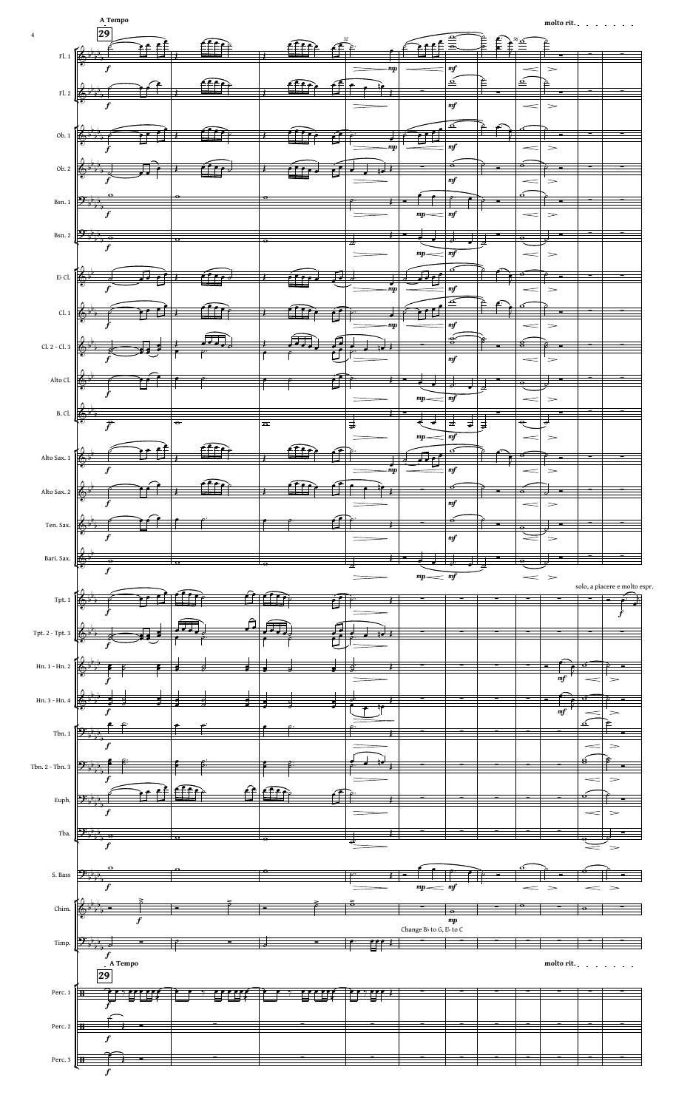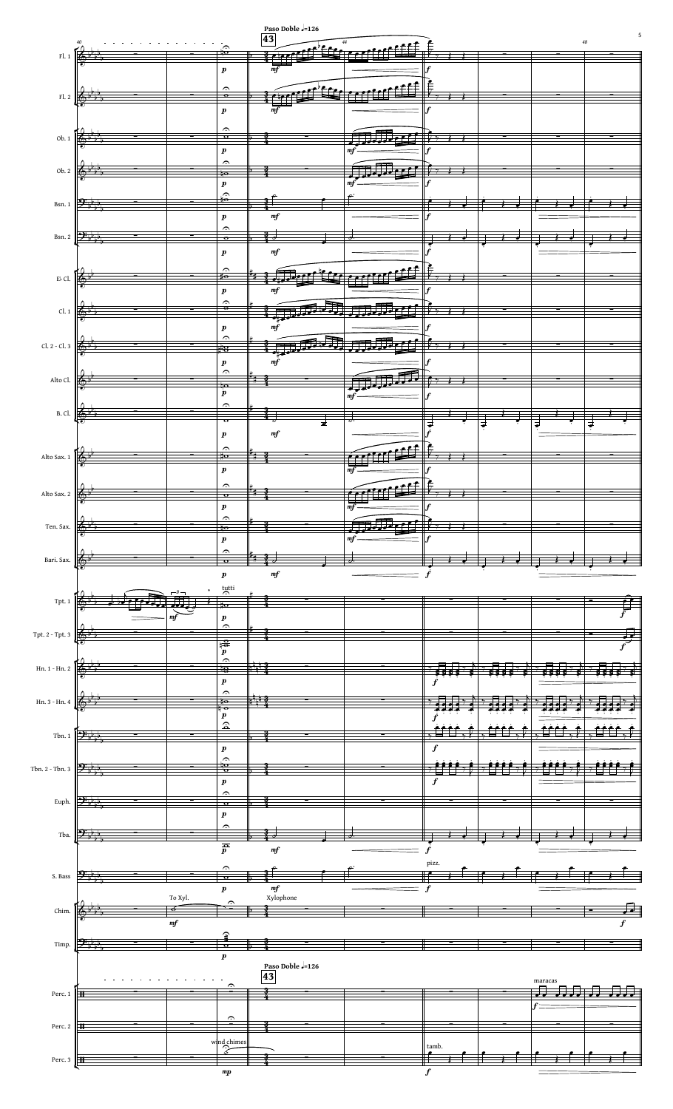|                                                                   |                                                                          |                          | $\frac{1}{\sqrt{2}}$                           |      | Paso Doble $e=126$ |                         |                                 |                              | 48                           |                                              |
|-------------------------------------------------------------------|--------------------------------------------------------------------------|--------------------------|------------------------------------------------|------|--------------------|-------------------------|---------------------------------|------------------------------|------------------------------|----------------------------------------------|
|                                                                   | F1.1                                                                     |                          |                                                |      |                    |                         |                                 |                              |                              |                                              |
|                                                                   |                                                                          |                          | $\boldsymbol{p}$                               |      | mf                 |                         |                                 |                              |                              |                                              |
|                                                                   |                                                                          |                          |                                                |      |                    |                         |                                 |                              |                              |                                              |
|                                                                   | Fl. 2 $\left[\begin{array}{c} 2 & b & b \\ 0 & b & b \end{array}\right]$ |                          | $\frac{\hat{\Omega}}{2}$                       |      | <u>eler</u>        |                         | ⇉                               |                              |                              |                                              |
|                                                                   |                                                                          |                          | $\pmb{p}$                                      |      |                    |                         |                                 |                              |                              |                                              |
|                                                                   |                                                                          |                          |                                                |      |                    |                         |                                 |                              |                              |                                              |
| $\frac{1}{2}$ 0b. 1                                               |                                                                          |                          | $\frac{1}{\alpha}$                             |      |                    |                         |                                 |                              |                              |                                              |
|                                                                   |                                                                          |                          | $\pmb{p}$                                      |      |                    | m f                     |                                 |                              |                              |                                              |
|                                                                   |                                                                          |                          | $\hat{\phantom{a}}$                            |      |                    |                         |                                 |                              |                              |                                              |
| Ob. 2                                                             | $\frac{1}{2}$                                                            |                          | $\frac{1}{2}$                                  |      |                    | فكوسين                  |                                 |                              |                              |                                              |
|                                                                   |                                                                          |                          | $\boldsymbol{p}$                               |      |                    | $m\!f$                  |                                 |                              |                              |                                              |
|                                                                   |                                                                          |                          | $\frac{1}{10}$                                 |      |                    |                         |                                 |                              |                              |                                              |
| $_{\rm Bsn. \, 1}$                                                | $\mathcal{Y}$ ) is                                                       |                          |                                                |      |                    |                         |                                 |                              |                              |                                              |
|                                                                   |                                                                          |                          | $\pmb{p}$                                      |      | m f                |                         |                                 |                              |                              |                                              |
| Bsn. 2                                                            | $\mathcal{Y}$ ,                                                          |                          | $\hat{ }$<br>$\overline{\phantom{0}}$          |      |                    |                         |                                 |                              |                              |                                              |
|                                                                   |                                                                          |                          | $\pmb{p}$                                      |      | $\it mf$           |                         |                                 |                              |                              |                                              |
|                                                                   |                                                                          |                          |                                                |      |                    |                         |                                 |                              |                              |                                              |
| $\text{E}\flat$ Cl.                                               |                                                                          |                          | $\frac{1}{10}$                                 |      |                    |                         |                                 |                              |                              |                                              |
|                                                                   |                                                                          |                          | $\boldsymbol{p}$                               |      | mf                 |                         |                                 |                              |                              |                                              |
|                                                                   |                                                                          |                          |                                                |      |                    |                         |                                 |                              |                              |                                              |
| cl. 1                                                             |                                                                          |                          | $\hat{\cdot}$                                  |      | $\pi$ . $\pi$      |                         |                                 |                              |                              |                                              |
|                                                                   |                                                                          |                          | $\pmb{p}$                                      |      |                    |                         |                                 |                              |                              |                                              |
|                                                                   |                                                                          |                          | $\hat{ }$                                      |      |                    |                         |                                 |                              |                              |                                              |
| Cl. 2 - Cl. 3                                                     |                                                                          |                          | $\frac{1}{48}$                                 |      |                    | <b>Fischer der Karl</b> |                                 |                              |                              |                                              |
|                                                                   |                                                                          |                          | $\pmb{p}$                                      |      |                    |                         |                                 |                              |                              |                                              |
|                                                                   |                                                                          |                          | $\hat{ }$                                      |      |                    |                         |                                 |                              |                              |                                              |
| $\rm Alto$ Cl.                                                    |                                                                          |                          | $\frac{1}{p}$                                  |      |                    | $\overline{J}$ .<br>ĮТ  | $\overline{1}$                  |                              |                              |                                              |
|                                                                   |                                                                          |                          |                                                |      |                    | mf                      |                                 |                              |                              |                                              |
| $B.$ Cl. $\left(\frac{1}{2}, \frac{1}{2}\right)$                  |                                                                          |                          | $\hat{ }$                                      |      |                    |                         |                                 |                              |                              |                                              |
|                                                                   |                                                                          |                          | $\sigma$                                       |      |                    |                         |                                 | ₹                            |                              | ₹                                            |
|                                                                   |                                                                          |                          | $\pmb{p}$                                      |      | mf                 |                         |                                 |                              |                              |                                              |
|                                                                   |                                                                          |                          |                                                |      |                    |                         |                                 |                              |                              |                                              |
| Alto Sax. $1$                                                     |                                                                          |                          | $\frac{1}{10}$                                 |      |                    |                         |                                 |                              |                              |                                              |
|                                                                   |                                                                          |                          | $\pmb{p}$                                      |      |                    | mf                      |                                 |                              |                              |                                              |
|                                                                   |                                                                          |                          | $\hat{\phantom{a}}$                            |      |                    |                         |                                 |                              |                              |                                              |
| Alto Sax. $2$                                                     | $\overline{\mathbb{e}}$                                                  |                          | $\overline{\circ}$                             |      |                    | $\sim$                  | ₹                               |                              |                              |                                              |
|                                                                   |                                                                          |                          | $\boldsymbol{p}$                               |      |                    | m f                     |                                 |                              |                              |                                              |
|                                                                   |                                                                          |                          | $\hat{\phantom{a}}$                            |      |                    |                         |                                 |                              |                              |                                              |
| Ten. Sax.                                                         | "<br>$\bullet$                                                           |                          | $\frac{1}{2}$                                  |      |                    | m f                     |                                 |                              |                              |                                              |
|                                                                   |                                                                          |                          | $\boldsymbol{p}$                               |      |                    |                         |                                 |                              |                              |                                              |
| Bari. Sax.                                                        | Ф                                                                        |                          | $\hat{\phantom{a}}$<br>$\overline{\mathbf{o}}$ |      |                    | J                       |                                 |                              |                              |                                              |
|                                                                   |                                                                          |                          |                                                |      |                    |                         |                                 |                              |                              |                                              |
|                                                                   |                                                                          |                          |                                                |      |                    |                         |                                 |                              |                              |                                              |
|                                                                   |                                                                          |                          | $\pmb{p}$                                      |      | $\it mf$           |                         |                                 |                              |                              |                                              |
|                                                                   |                                                                          |                          | tutti                                          |      |                    |                         |                                 |                              |                              |                                              |
| Tpt. 1                                                            |                                                                          |                          | $\overline{\mathbf{t}}$                        |      |                    |                         |                                 |                              |                              |                                              |
|                                                                   |                                                                          | mf                       | $\pmb{p}$                                      |      |                    |                         |                                 |                              |                              | 朞                                            |
| $\operatorname{\mathsf{Tpt.}}2$ - $\operatorname{\mathsf{Tpt.}}3$ | ſ.                                                                       |                          | $\hat{ }$                                      |      |                    |                         |                                 |                              |                              |                                              |
|                                                                   |                                                                          |                          |                                                |      |                    |                         |                                 |                              |                              |                                              |
|                                                                   |                                                                          |                          | $\frac{\overline{p\frac{1}{2}}}{p}$            |      |                    |                         |                                 |                              |                              | $\frac{1}{f}$                                |
| Hn. 1 - Hn. 2                                                     | ⋒⋗                                                                       |                          | $\overline{\mathbf{B}}$                        | F.   |                    |                         |                                 | $\overline{\mathbf{H}}$      | ,,,,                         |                                              |
|                                                                   | ∙                                                                        |                          | $\pmb{p}$                                      |      |                    |                         | $\overline{\mathfrak{so}}$<br>Ĵ |                              |                              | $\overline{\mathbf{H}}$                      |
|                                                                   |                                                                          |                          | $\Omega$                                       |      |                    |                         |                                 |                              | ۲Œ                           |                                              |
| Hn. 3 - Hn. 4                                                     | ∾                                                                        |                          |                                                | فلظظ |                    |                         |                                 | EST :                        | ۰                            |                                              |
|                                                                   |                                                                          |                          | $\frac{1}{4}$<br>$\frac{1}{p}$                 |      |                    |                         | $\frac{1}{2}$                   |                              | रंगर                         | 卖                                            |
|                                                                   |                                                                          |                          | $\hat{\cdot}$                                  |      |                    |                         | <del>, Liti, j.</del>           | ₩Ė<br>$\rightarrow$ $\prime$ | خخخخ                         | مغضغ                                         |
| Tbn. 1                                                            | $\mathbf{\mathcal{P}}$ , $\mathbf{\mathcal{P}}$                          |                          |                                                |      |                    |                         |                                 |                              |                              |                                              |
|                                                                   |                                                                          |                          | $\pmb{p}$                                      |      |                    |                         | $\boldsymbol{f}$                |                              |                              |                                              |
| Tbn. 2 - Tbn. 3                                                   | $\mathcal{F}_{\mathbb{P}^+}$                                             |                          | $\frac{1}{\sqrt{2}}$                           |      |                    |                         | $\frac{1}{2}$                   | <u>.,</u>                    | ,,,,                         | <b>\$\$\$1</b>                               |
|                                                                   |                                                                          |                          | $\pmb{p}$                                      |      |                    |                         | $\boldsymbol{f}$                |                              |                              |                                              |
|                                                                   |                                                                          |                          | $\widehat{\phantom{a}}$                        |      |                    |                         |                                 |                              |                              |                                              |
| Euph.                                                             | $2\mathbb{F}$                                                            |                          | $\overline{\mathbf{o}}$                        |      |                    |                         |                                 |                              |                              |                                              |
|                                                                   |                                                                          |                          | $\pmb{p}$                                      |      |                    |                         |                                 |                              |                              |                                              |
| Tba.                                                              | 2,1                                                                      |                          | $\hat{\phantom{a}}$                            |      |                    |                         |                                 |                              |                              |                                              |
|                                                                   |                                                                          |                          |                                                |      |                    |                         |                                 |                              |                              |                                              |
|                                                                   |                                                                          |                          | $\overline{\overline{\overline{p}}}$           |      | $\it mf$           |                         |                                 |                              |                              |                                              |
|                                                                   |                                                                          |                          | $\hat{\phantom{a}}$                            |      | ∺                  |                         | pizz.                           |                              |                              |                                              |
| S. Bass                                                           | $\mathcal{D}_{\mathcal{P}'}$                                             |                          | $\overline{\mathbf{c}}$                        |      |                    |                         |                                 |                              |                              |                                              |
|                                                                   |                                                                          |                          | $\pmb{p}$                                      |      | $\it mf$           |                         | f                               |                              |                              |                                              |
| Chim.                                                             |                                                                          | To Xyl.<br>$\frac{6}{5}$ | E                                              |      | Xylophone          |                         |                                 |                              |                              |                                              |
|                                                                   |                                                                          |                          |                                                |      |                    |                         |                                 |                              |                              | $\overline{\phantom{a}}$<br>$\boldsymbol{f}$ |
|                                                                   |                                                                          | $m\!f$                   |                                                |      |                    |                         |                                 |                              |                              |                                              |
| Timp.                                                             | $2\pm$                                                                   |                          | $\frac{2}{3}$                                  |      |                    |                         |                                 |                              |                              |                                              |
|                                                                   |                                                                          |                          | $\pmb{p}$                                      |      |                    |                         |                                 |                              |                              |                                              |
|                                                                   |                                                                          |                          |                                                |      | Paso Doble -126    |                         |                                 |                              |                              |                                              |
|                                                                   |                                                                          |                          | ⌒                                              |      | 43                 |                         |                                 |                              | maracas                      |                                              |
| Perc. 1                                                           | $\mathbf{H}$                                                             |                          |                                                |      |                    |                         |                                 |                              | 7.7.7<br>$\bullet$ $\bullet$ | <u> ", , ,</u>                               |
|                                                                   |                                                                          |                          |                                                |      |                    |                         |                                 |                              | f <sup>2</sup>               |                                              |
|                                                                   |                                                                          |                          | $\widehat{\phantom{a}}$                        |      |                    |                         |                                 |                              |                              |                                              |
| Perc. 2 $H$                                                       |                                                                          |                          |                                                |      |                    |                         |                                 |                              |                              |                                              |
|                                                                   |                                                                          |                          |                                                |      |                    |                         |                                 |                              |                              |                                              |
| Perc. $3$                                                         |                                                                          |                          | $\sum_{\text{S}}$                              |      |                    |                         | $\left  \bullet \right $        |                              |                              |                                              |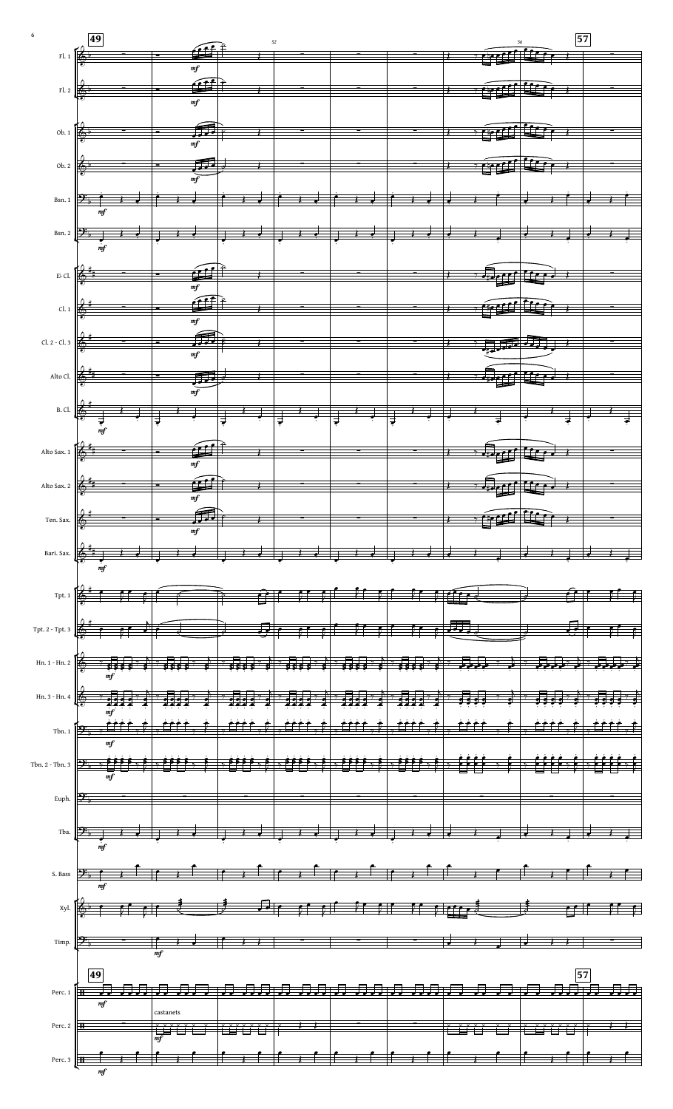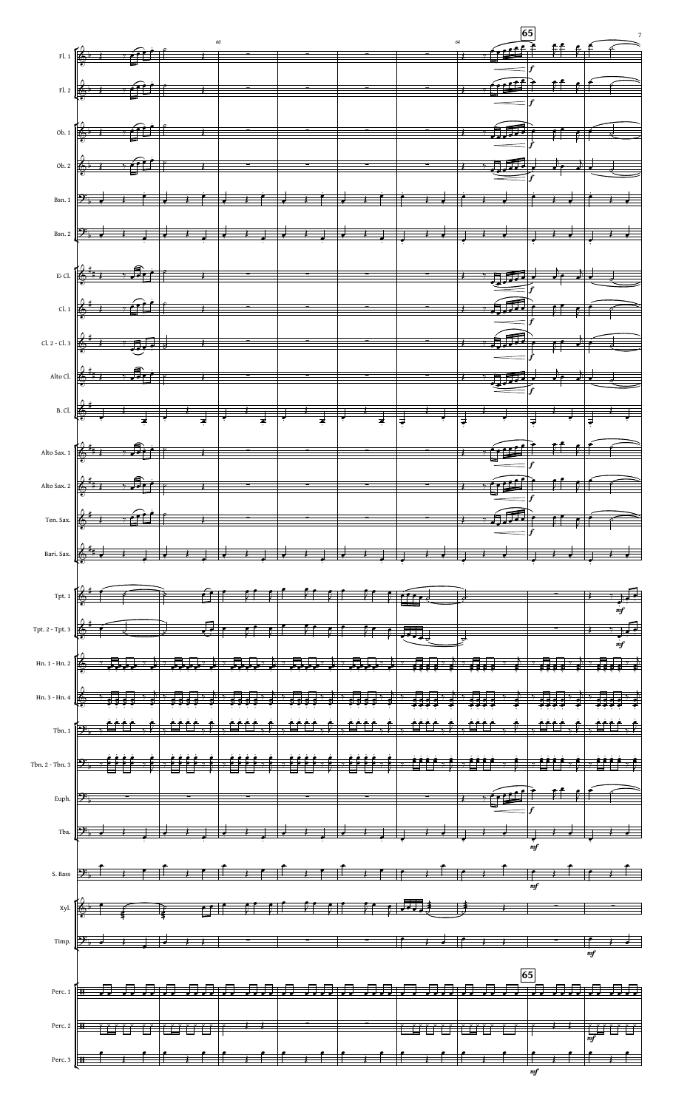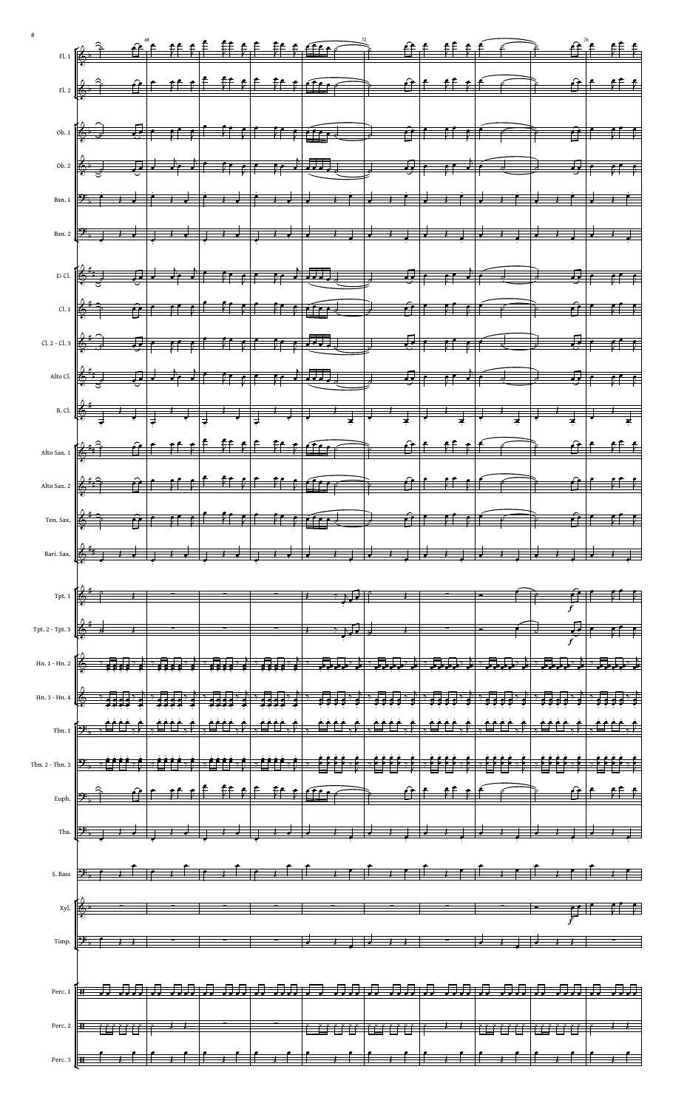![](_page_7_Figure_0.jpeg)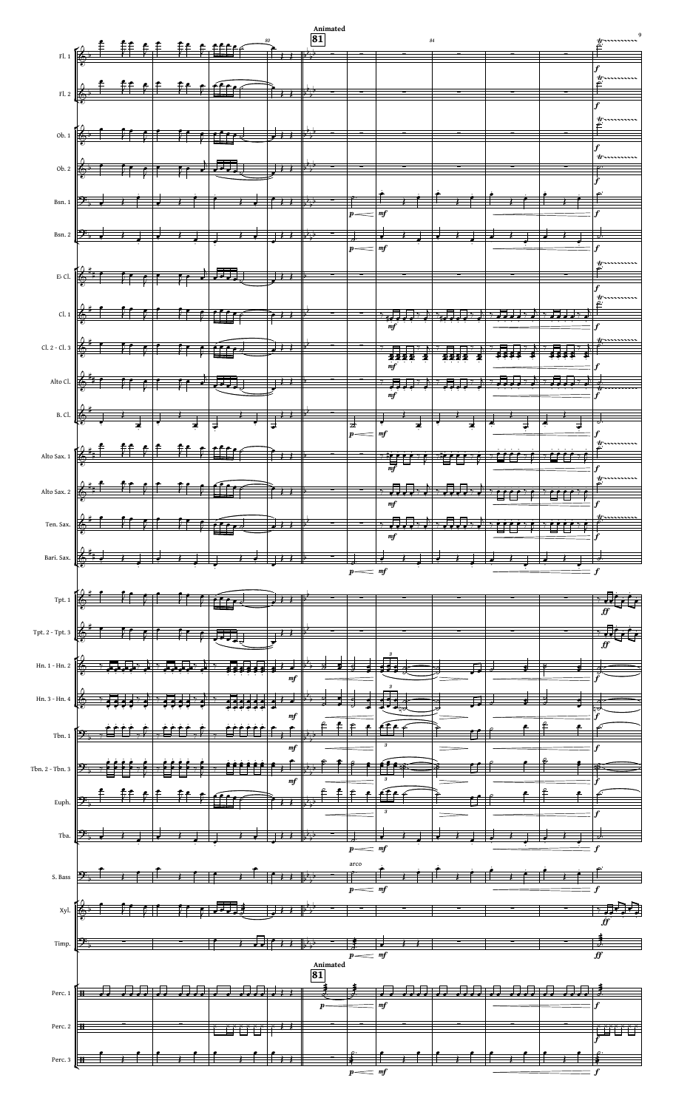![](_page_8_Figure_0.jpeg)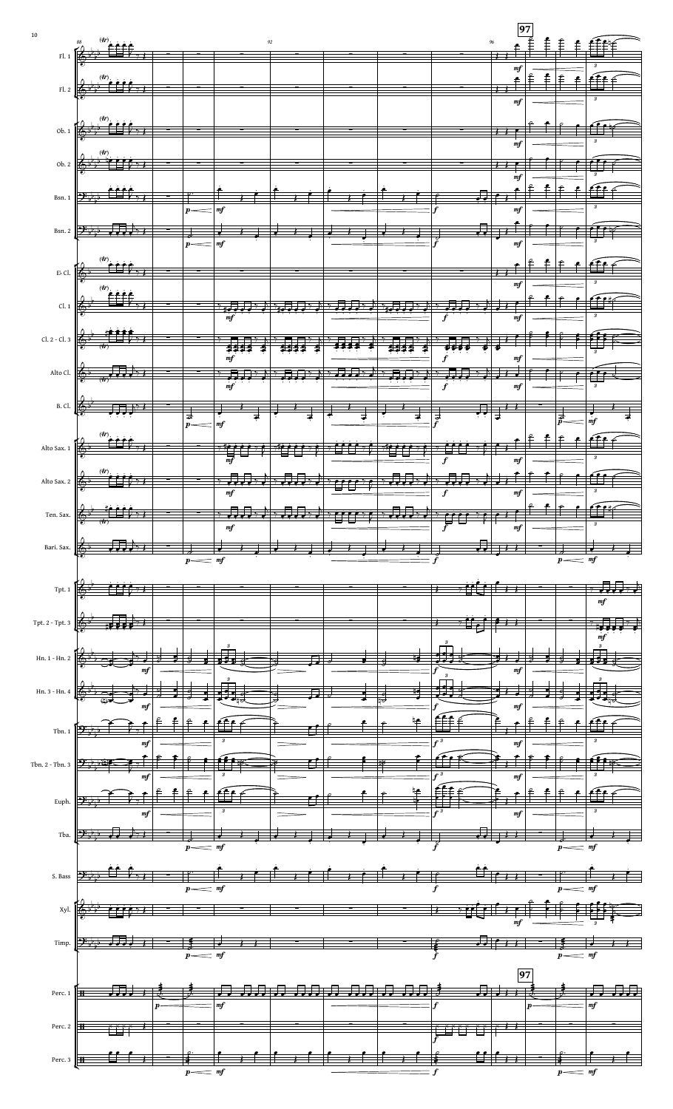![](_page_9_Figure_0.jpeg)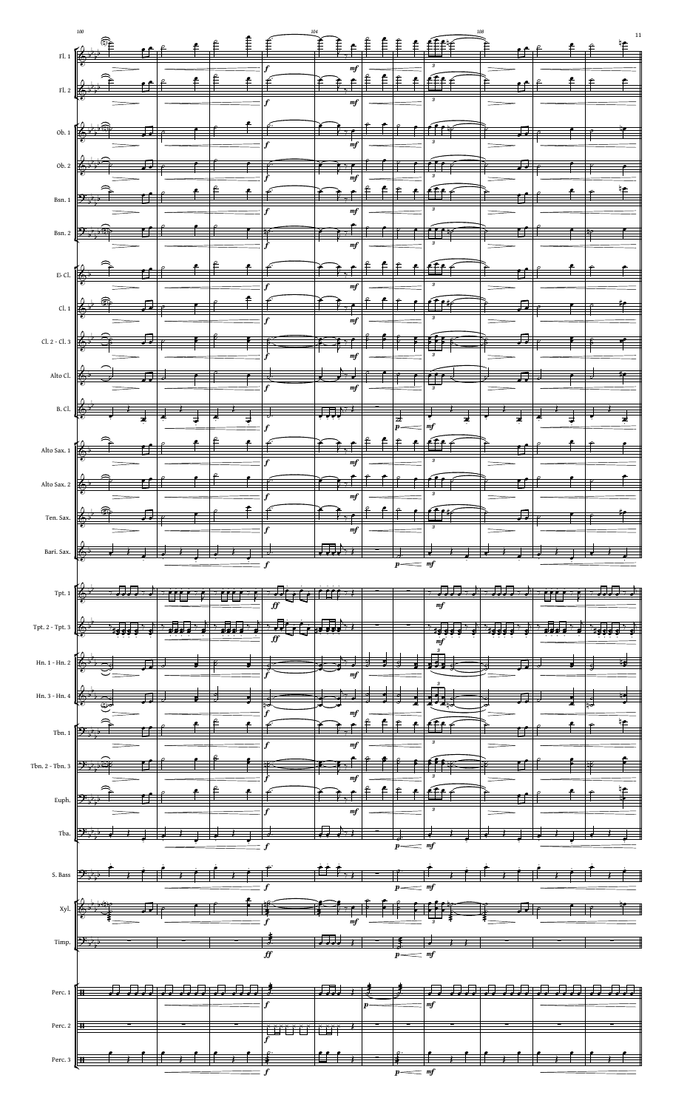![](_page_10_Figure_0.jpeg)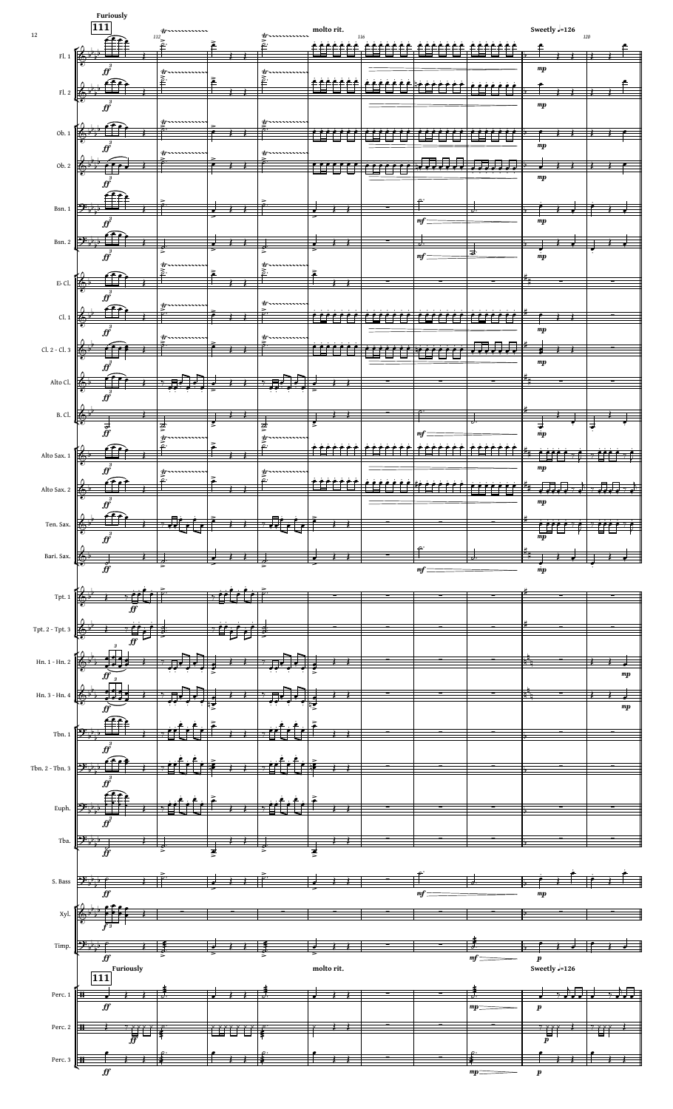![](_page_11_Figure_0.jpeg)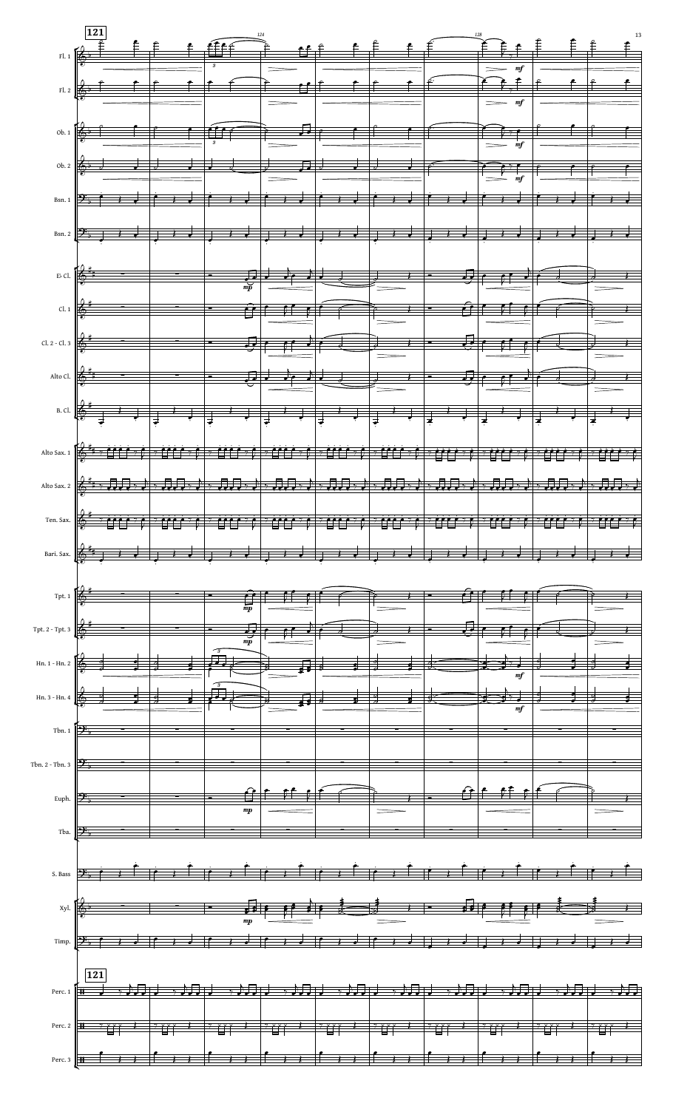![](_page_12_Figure_0.jpeg)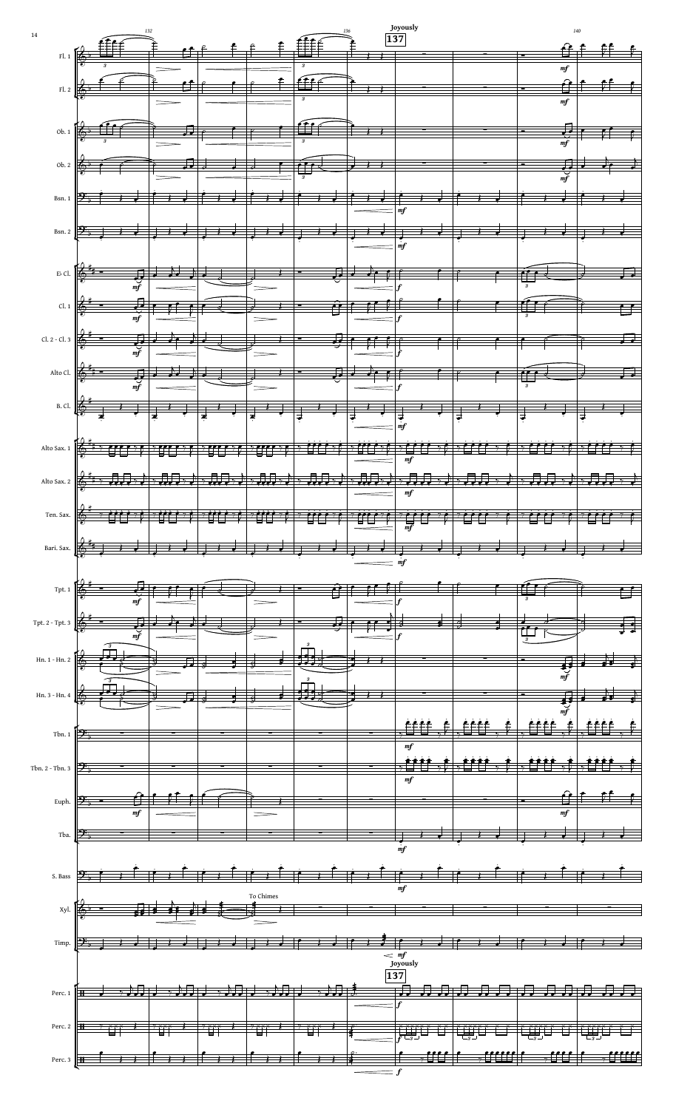![](_page_13_Figure_0.jpeg)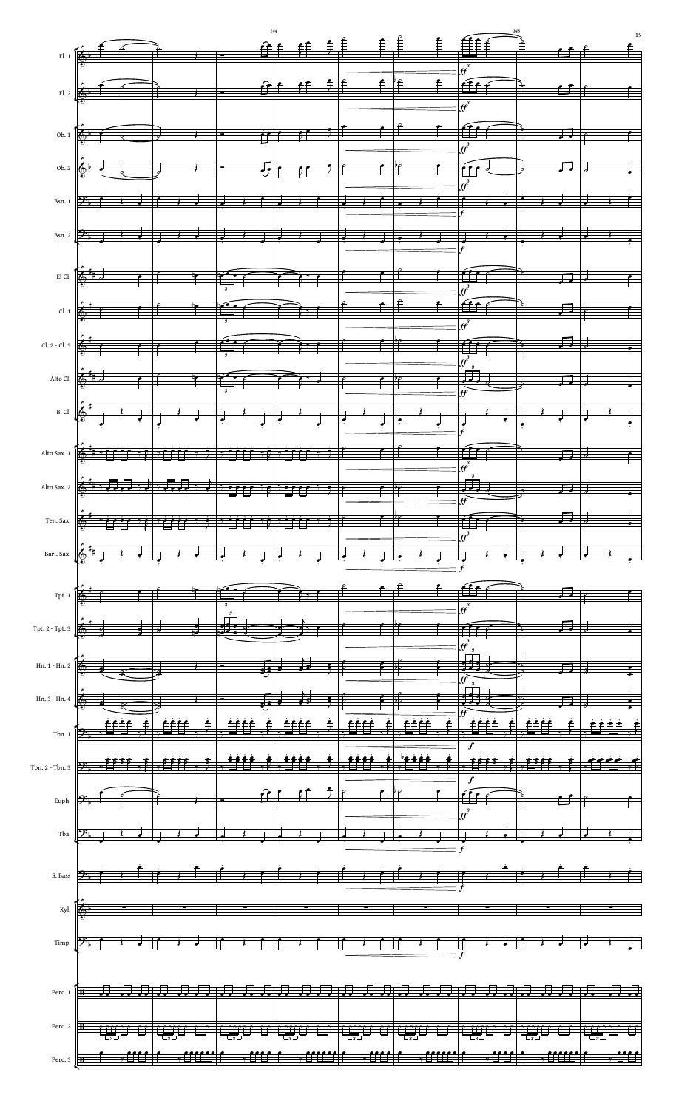![](_page_14_Figure_0.jpeg)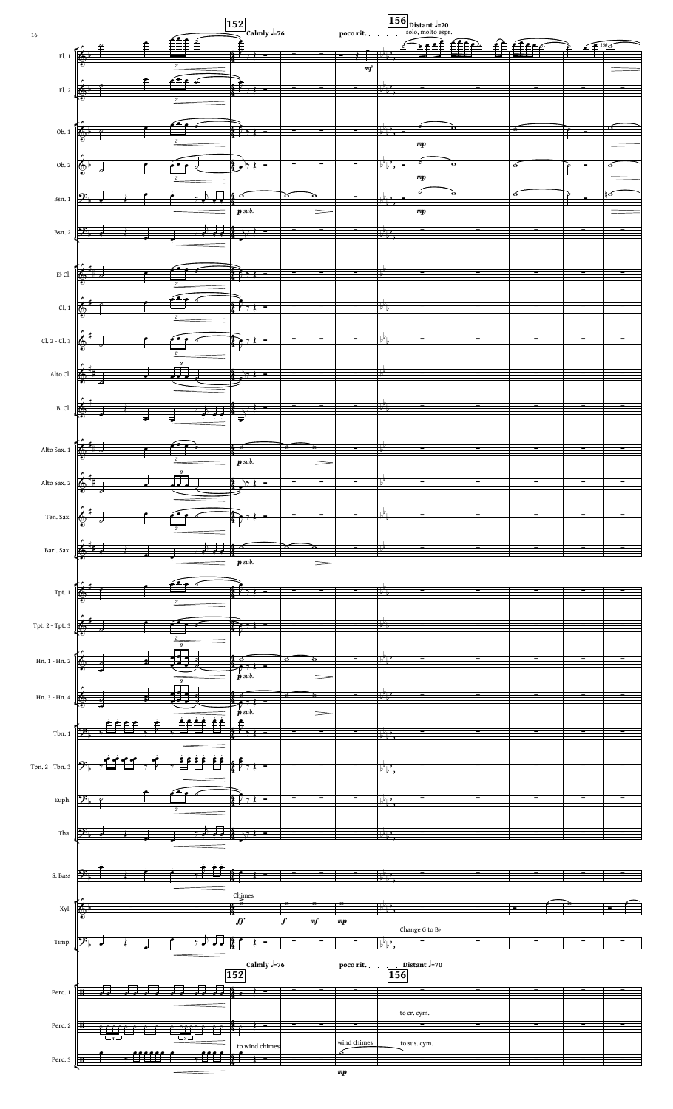![](_page_15_Figure_0.jpeg)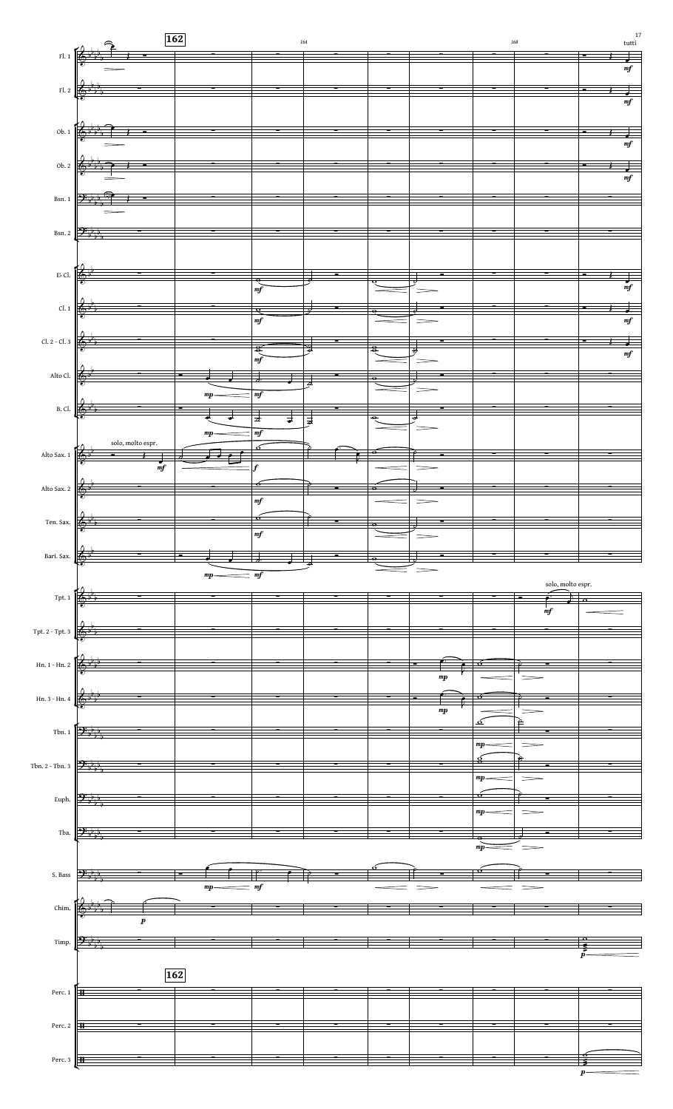![](_page_16_Figure_0.jpeg)